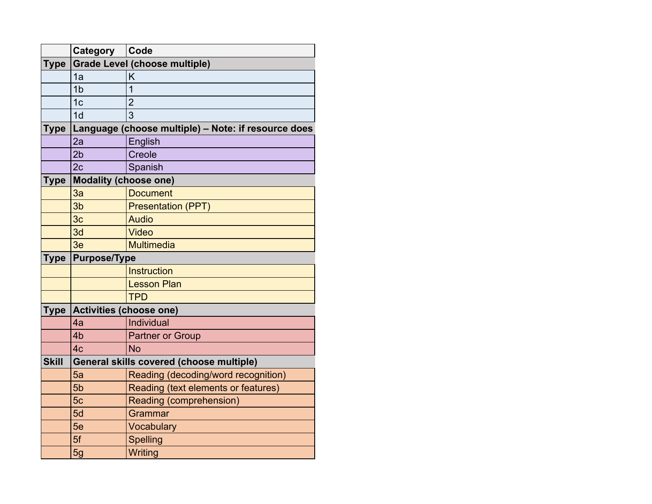| <b>Category</b>              | Code                                                |
|------------------------------|-----------------------------------------------------|
|                              | Grade Level (choose multiple)                       |
| 1a                           | Κ                                                   |
| 1 <sub>b</sub>               |                                                     |
| 1 <sub>c</sub>               | $\overline{2}$                                      |
| 1 <sub>d</sub>               | 3                                                   |
|                              | Language (choose multiple) - Note: if resource does |
| 2al                          | English                                             |
| 2b                           | Creole                                              |
| 2c                           | Spanish                                             |
|                              |                                                     |
| 3a                           | <b>Document</b>                                     |
| 3 <sub>b</sub>               | <b>Presentation (PPT)</b>                           |
| 3 <sub>c</sub>               | <b>Audio</b>                                        |
| 3d                           | Video                                               |
| 3e                           | Multimedia                                          |
|                              |                                                     |
|                              |                                                     |
|                              | Instruction                                         |
|                              | <b>Lesson Plan</b>                                  |
|                              | <b>TPD</b>                                          |
| Type Activities (choose one) |                                                     |
| 4a                           | Individual                                          |
| 4 <sub>b</sub>               | Partner or Group                                    |
| 4c                           | N <sub>o</sub>                                      |
|                              | General skills covered (choose multiple)            |
| 5a                           | Reading (decoding/word recognition)                 |
| 5 <sub>b</sub>               | Reading (text elements or features)                 |
| 5c                           | Reading (comprehension)                             |
| 5d                           | Grammar                                             |
|                              |                                                     |
| 5e<br>5f                     | Vocabulary<br><b>Spelling</b>                       |
|                              | <b>Modality (choose one)</b><br><b>Purpose/Type</b> |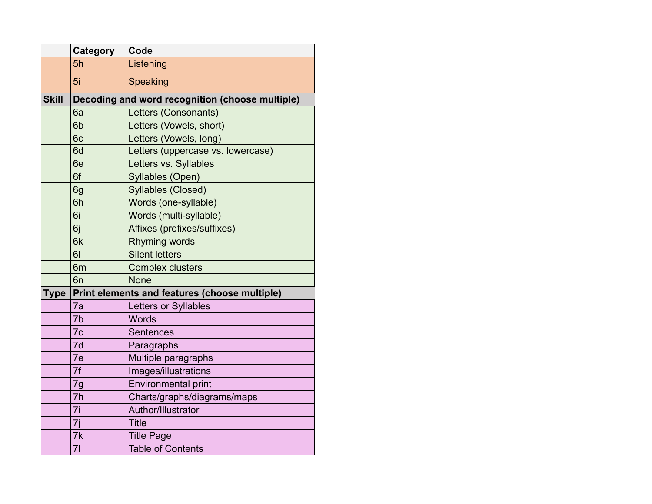|              | Category       | Code                                            |
|--------------|----------------|-------------------------------------------------|
|              | 5h             | Listening                                       |
|              | 5i             | Speaking                                        |
| <b>Skill</b> |                | Decoding and word recognition (choose multiple) |
|              | 6a             | Letters (Consonants)                            |
|              | 6b             | Letters (Vowels, short)                         |
|              | 6c             | Letters (Vowels, long)                          |
|              | 6d             | Letters (uppercase vs. lowercase)               |
|              | 6e             | Letters vs. Syllables                           |
|              | 6f             | Syllables (Open)                                |
|              | 6g             | Syllables (Closed)                              |
|              | 6h             | Words (one-syllable)                            |
|              | 6i             | Words (multi-syllable)                          |
|              | 6j             | Affixes (prefixes/suffixes)                     |
|              | 6k             | <b>Rhyming words</b>                            |
|              | 61             | <b>Silent letters</b>                           |
|              | 6 <sub>m</sub> | <b>Complex clusters</b>                         |
|              | 6 <sub>n</sub> | <b>None</b>                                     |
| <b>Type</b>  |                | Print elements and features (choose multiple)   |
|              | 7a             | Letters or Syllables                            |
|              | 7b             | <b>Words</b>                                    |
|              | 7c             | <b>Sentences</b>                                |
|              | 7d             | Paragraphs                                      |
|              | 7e             | Multiple paragraphs                             |
|              | 7f             | Images/illustrations                            |
|              | 7g             | <b>Environmental print</b>                      |
|              | 7 <sub>h</sub> | Charts/graphs/diagrams/maps                     |
|              | 7i             | Author/Illustrator                              |
|              | 7j             | <b>Title</b>                                    |
|              | 7k             | <b>Title Page</b>                               |
|              | 71             | <b>Table of Contents</b>                        |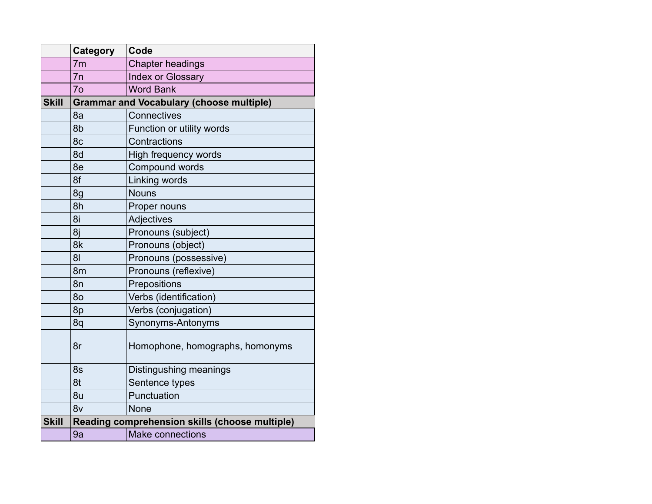|              | Category       | Code                                            |  |
|--------------|----------------|-------------------------------------------------|--|
|              | 7 <sub>m</sub> | <b>Chapter headings</b>                         |  |
|              | 7n             | <b>Index or Glossary</b>                        |  |
|              | 7 <sub>o</sub> | <b>Word Bank</b>                                |  |
| <b>Skill</b> |                | <b>Grammar and Vocabulary (choose multiple)</b> |  |
|              | 8a             | Connectives                                     |  |
|              | 8b             | Function or utility words                       |  |
|              | 8c             | Contractions                                    |  |
|              | 8d             | High frequency words                            |  |
|              | 8e             | Compound words                                  |  |
|              | 8f             | Linking words                                   |  |
|              | 8g             | <b>Nouns</b>                                    |  |
|              | 8h             | Proper nouns                                    |  |
|              | 8i             | Adjectives                                      |  |
|              | 8j             | Pronouns (subject)                              |  |
|              | 8k             | Pronouns (object)                               |  |
|              | 8 <sub>l</sub> | Pronouns (possessive)                           |  |
|              | 8 <sub>m</sub> | Pronouns (reflexive)                            |  |
|              | 8n             | Prepositions                                    |  |
|              | 80             | Verbs (identification)                          |  |
|              | 8p             | Verbs (conjugation)                             |  |
|              | 8q             | Synonyms-Antonyms                               |  |
|              | 8r             | Homophone, homographs, homonyms                 |  |
|              | 8s             | Distingushing meanings                          |  |
|              | 8t             | Sentence types                                  |  |
|              | 8u             | Punctuation                                     |  |
|              | 8v             | <b>None</b>                                     |  |
| <b>Skill</b> |                | Reading comprehension skills (choose multiple)  |  |
|              | 9a             | <b>Make connections</b>                         |  |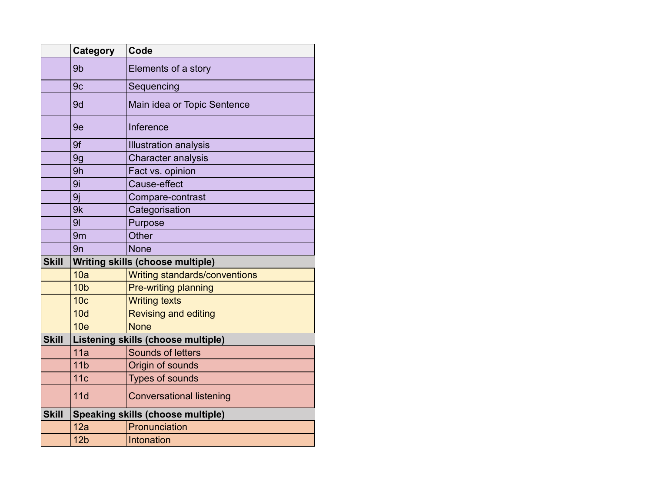|              | Category        | Code                                      |  |
|--------------|-----------------|-------------------------------------------|--|
|              | 9b              | Elements of a story                       |  |
|              | 9c              | Sequencing                                |  |
|              | 9d              | Main idea or Topic Sentence               |  |
|              | 9e              | Inference                                 |  |
|              | 9f              | <b>Illustration analysis</b>              |  |
|              | 9g              | <b>Character analysis</b>                 |  |
|              | 9h              | Fact vs. opinion                          |  |
|              | 9i              | Cause-effect                              |  |
|              | 9j              | Compare-contrast                          |  |
|              | 9k              | Categorisation                            |  |
|              | 9 <sub>l</sub>  | Purpose                                   |  |
|              | 9 <sub>m</sub>  | Other                                     |  |
|              | 9n              | <b>None</b>                               |  |
| <b>Skill</b> |                 | <b>Writing skills (choose multiple)</b>   |  |
|              | 10a             | <b>Writing standards/conventions</b>      |  |
|              | 10 <sub>b</sub> | Pre-writing planning                      |  |
|              | 10 <sub>c</sub> | <b>Writing texts</b>                      |  |
|              | 10d             | <b>Revising and editing</b>               |  |
|              | 10 <sub>e</sub> | <b>None</b>                               |  |
| <b>Skill</b> |                 | <b>Listening skills (choose multiple)</b> |  |
|              | 11a             | Sounds of letters                         |  |
|              | 11 <sub>b</sub> | Origin of sounds                          |  |
|              | 11c             | <b>Types of sounds</b>                    |  |
|              | 11d             | <b>Conversational listening</b>           |  |
| <b>Skill</b> |                 | <b>Speaking skills (choose multiple)</b>  |  |
|              | 12a             | Pronunciation                             |  |
|              | 12 <sub>b</sub> | Intonation                                |  |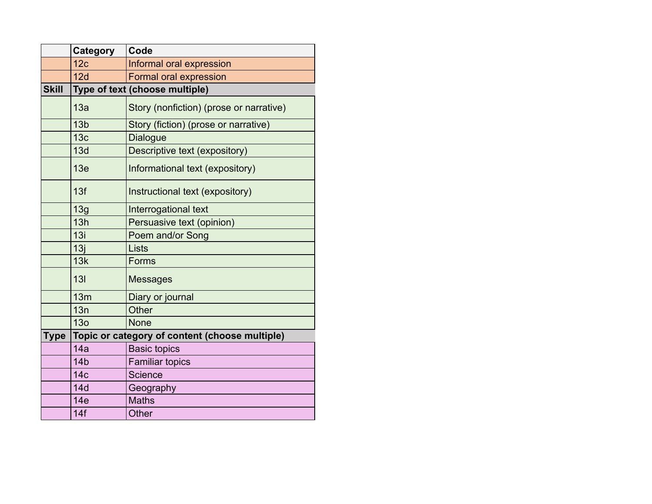|              | Category        | Code                                           |
|--------------|-----------------|------------------------------------------------|
|              | 12 <sub>c</sub> | Informal oral expression                       |
|              | 12d             | <b>Formal oral expression</b>                  |
| <b>Skill</b> |                 | Type of text (choose multiple)                 |
|              | 13a             | Story (nonfiction) (prose or narrative)        |
|              | 13 <sub>b</sub> | Story (fiction) (prose or narrative)           |
|              | 13 <sub>c</sub> | <b>Dialogue</b>                                |
|              | 13d             | Descriptive text (expository)                  |
|              | 13e             | Informational text (expository)                |
|              | 13f             | Instructional text (expository)                |
|              | 13g             | Interrogational text                           |
|              | 13h             | Persuasive text (opinion)                      |
|              | 13i             | Poem and/or Song                               |
|              | 13j             | Lists                                          |
|              | 13k             | Forms                                          |
|              | 13I             | <b>Messages</b>                                |
|              | 13m             | Diary or journal                               |
|              | 13n             | Other                                          |
|              | 13 <sub>o</sub> | <b>None</b>                                    |
| <b>Type</b>  |                 | Topic or category of content (choose multiple) |
|              | 14a             | <b>Basic topics</b>                            |
|              | 14 <sub>b</sub> | <b>Familiar topics</b>                         |
|              | 14 <sub>c</sub> | <b>Science</b>                                 |
|              | 14d             | Geography                                      |
|              | 14e             | <b>Maths</b>                                   |
|              | 14f             | <b>Other</b>                                   |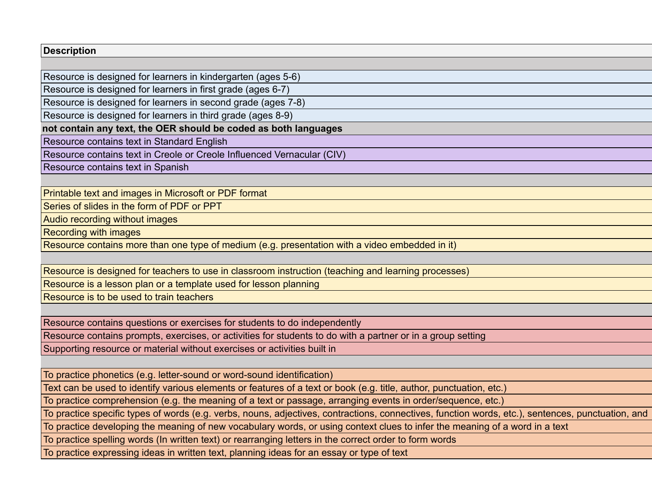Resource is designed for learners in kindergarten (ages 5-6)

Resource is designed for learners in first grade (ages 6-7)

Resource is designed for learners in second grade (ages 7-8)

Resource is designed for learners in third grade (ages 8-9)

not contain any text, the OER should be coded as both languages

Resource contains text in Standard English

Resource contains text in Creole or Creole Influenced Vernacular (CIV)

Resource contains text in Spanish

Printable text and images in Microsoft or PDF format

Series of slides in the form of PDF or PPT

Audio recording without images

Recording with images

Resource contains more than one type of medium (e.g. presentation with a video embedded in it)

Resource is designed for teachers to use in classroom instruction (teaching and learning processes)

Resource is a lesson plan or a template used for lesson planning

Resource is to be used to train teachers

Resource contains questions or exercises for students to do independently

Resource contains prompts, exercises, or activities for students to do with a partner or in a group setting

Supporting resource or material without exercises or activities built in

To practice phonetics (e.g. letter-sound or word-sound identification)

Text can be used to identify various elements or features of a text or book (e.g. title, author, punctuation, etc.)

To practice comprehension (e.g. the meaning of a text or passage, arranging events in order/sequence, etc.)

To practice specific types of words (e.g. verbs, nouns, adjectives, contractions, connectives, function words, etc.), sentences, punctuation, and

To practice developing the meaning of new vocabulary words, or using context clues to infer the meaning of a word in a text

To practice spelling words (In written text) or rearranging letters in the correct order to form words

To practice expressing ideas in written text, planning ideas for an essay or type of text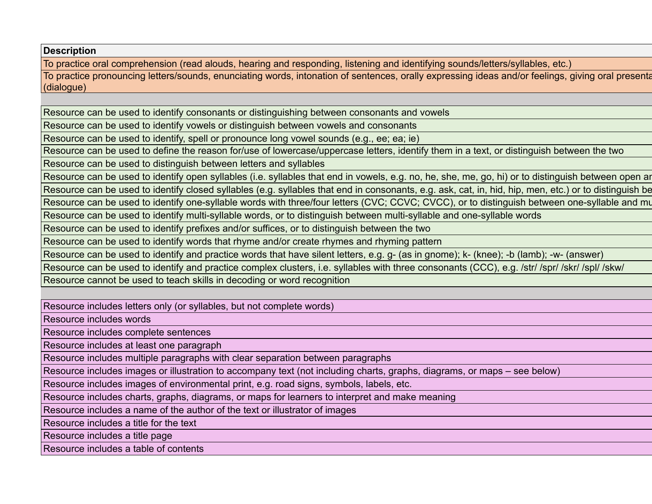To practice oral comprehension (read alouds, hearing and responding, listening and identifying sounds/letters/syllables, etc.)

To practice pronouncing letters/sounds, enunciating words, intonation of sentences, orally expressing ideas and/or feelings, giving oral presenta (dialogue)

Resource can be used to identify consonants or distinguishing between consonants and vowels

Resource can be used to identify vowels or distinguish between vowels and consonants

Resource can be used to identify, spell or pronounce long vowel sounds (e.g., ee; ea; ie)

Resource can be used to define the reason for/use of lowercase/uppercase letters, identify them in a text, or distinguish between the two

Resource can be used to distinguish between letters and syllables

Resource can be used to identify open syllables (i.e. syllables that end in vowels, e.g. no, he, she, me, go, hi) or to distinguish between open ar

Resource can be used to identify closed syllables (e.g. syllables that end in consonants, e.g. ask, cat, in, hid, hip, men, etc.) or to distinguish be

Resource can be used to identify one-syllable words with three/four letters (CVC; CCVC; CVCC), or to distinguish between one-syllable and mu

Resource can be used to identify multi-syllable words, or to distinguish between multi-syllable and one-syllable words

Resource can be used to identify prefixes and/or suffices, or to distinguish between the two

Resource can be used to identify words that rhyme and/or create rhymes and rhyming pattern

Resource can be used to identify and practice words that have silent letters, e.g. g- (as in gnome); k- (knee); -b (lamb); -w- (answer)

Resource can be used to identify and practice complex clusters, i.e. syllables with three consonants (CCC), e.g. /str/ /spr/ /skr/ /spl/ /skw/

Resource cannot be used to teach skills in decoding or word recognition

Resource includes letters only (or syllables, but not complete words)

Resource includes words

Resource includes complete sentences

Resource includes at least one paragraph

Resource includes multiple paragraphs with clear separation between paragraphs

Resource includes images or illustration to accompany text (not including charts, graphs, diagrams, or maps – see below)

Resource includes images of environmental print, e.g. road signs, symbols, labels, etc.

Resource includes charts, graphs, diagrams, or maps for learners to interpret and make meaning

Resource includes a name of the author of the text or illustrator of images

Resource includes a title for the text

Resource includes a title page

Resource includes a table of contents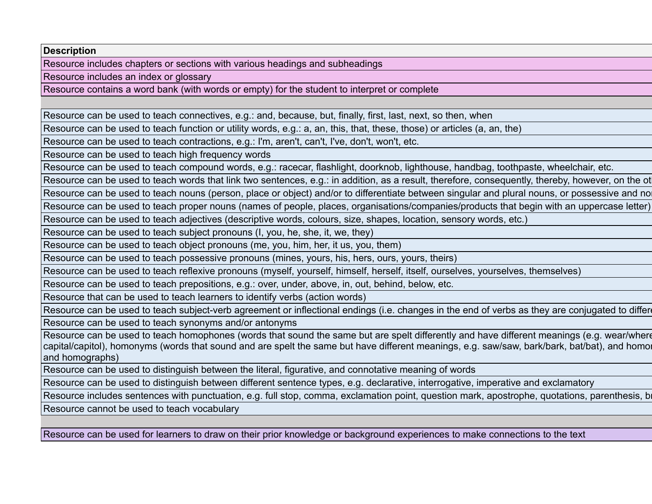Resource includes chapters or sections with various headings and subheadings

Resource includes an index or glossary

Resource contains a word bank (with words or empty) for the student to interpret or complete

Resource can be used to teach connectives, e.g.: and, because, but, finally, first, last, next, so then, when

Resource can be used to teach function or utility words, e.g.: a, an, this, that, these, those) or articles (a, an, the)

Resource can be used to teach contractions, e.g.: I'm, aren't, can't, I've, don't, won't, etc.

Resource can be used to teach high frequency words

Resource can be used to teach compound words, e.g.: racecar, flashlight, doorknob, lighthouse, handbag, toothpaste, wheelchair, etc.

Resource can be used to teach words that link two sentences, e.g.: in addition, as a result, therefore, consequently, thereby, however, on the ot

Resource can be used to teach nouns (person, place or object) and/or to differentiate between singular and plural nouns, or possessive and no

Resource can be used to teach proper nouns (names of people, places, organisations/companies/products that begin with an uppercase letter)

Resource can be used to teach adjectives (descriptive words, colours, size, shapes, location, sensory words, etc.)

Resource can be used to teach subject pronouns (I, you, he, she, it, we, they)

Resource can be used to teach object pronouns (me, you, him, her, it us, you, them)

Resource can be used to teach possessive pronouns (mines, yours, his, hers, ours, yours, theirs)

Resource can be used to teach reflexive pronouns (myself, yourself, himself, herself, itself, ourselves, yourselves, themselves)

Resource can be used to teach prepositions, e.g.: over, under, above, in, out, behind, below, etc.

Resource that can be used to teach learners to identify verbs (action words)

Resource can be used to teach subject-verb agreement or inflectional endings (i.e. changes in the end of verbs as they are conjugated to different tens

Resource can be used to teach synonyms and/or antonyms

Resource can be used to teach homophones (words that sound the same but are spelt differently and have different meanings (e.g. wear/where capital/capitol), homonyms (words that sound and are spelt the same but have different meanings, e.g. saw/saw, bark/bark, bat/bat), and homor and homographs)

Resource can be used to distinguish between the literal, figurative, and connotative meaning of words

Resource can be used to distinguish between different sentence types, e.g. declarative, interrogative, imperative and exclamatory

Resource includes sentences with punctuation, e.g. full stop, comma, exclamation point, question mark, apostrophe, quotations, parenthesis, b

Resource cannot be used to teach vocabulary

Resource can be used for learners to draw on their prior knowledge or background experiences to make connections to the text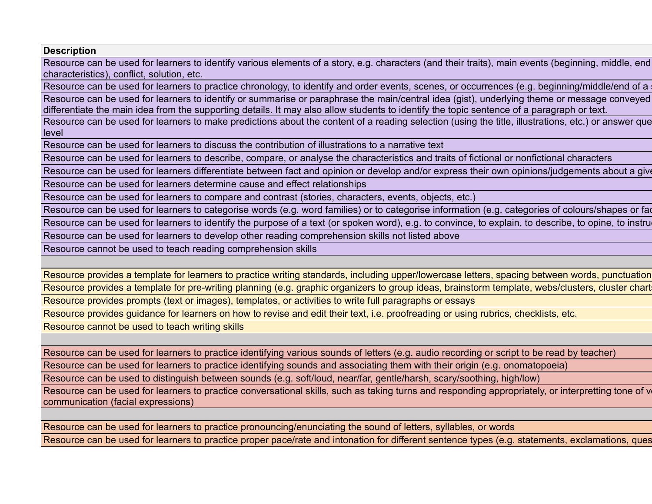Resource can be used for learners to identify various elements of a story, e.g. characters (and their traits), main events (beginning, middle, end characteristics), conflict, solution, etc.

Resource can be used for learners to practice chronology, to identify and order events, scenes, or occurrences (e.g. beginning/middle/end of a Resource can be used for learners to identify or summarise or paraphrase the main/central idea (gist), underlying theme or message conveyed differentiate the main idea from the supporting details. It may also allow students to identify the topic sentence of a paragraph or text.

Resource can be used for learners to make predictions about the content of a reading selection (using the title, illustrations, etc.) or answer que level

Resource can be used for learners to discuss the contribution of illustrations to a narrative text

Resource can be used for learners to describe, compare, or analyse the characteristics and traits of fictional or nonfictional characters

Resource can be used for learners differentiate between fact and opinion or develop and/or express their own opinions/judgements about a give

Resource can be used for learners determine cause and effect relationships

Resource can be used for learners to compare and contrast (stories, characters, events, objects, etc.)

Resource can be used for learners to categorise words (e.g. word families) or to categorise information (e.g. categories of colours/shapes or fact of

Resource can be used for learners to identify the purpose of a text (or spoken word), e.g. to convince, to explain, to describe, to opine, to instru

Resource can be used for learners to develop other reading comprehension skills not listed above

Resource cannot be used to teach reading comprehension skills

Resource provides a template for learners to practice writing standards, including upper/lowercase letters, spacing between words, punctuation Resource provides a template for pre-writing planning (e.g. graphic organizers to group ideas, brainstorm template, webs/clusters, cluster chart Resource provides prompts (text or images), templates, or activities to write full paragraphs or essays

Resource provides guidance for learners on how to revise and edit their text, i.e. proofreading or using rubrics, checklists, etc.

Resource cannot be used to teach writing skills

Resource can be used for learners to practice identifying various sounds of letters (e.g. audio recording or script to be read by teacher)

Resource can be used for learners to practice identifying sounds and associating them with their origin (e.g. onomatopoeia)

Resource can be used to distinguish between sounds (e.g. soft/loud, near/far, gentle/harsh, scary/soothing, high/low)

Resource can be used for learners to practice conversational skills, such as taking turns and responding appropriately, or interpretting tone of v communication (facial expressions)

Resource can be used for learners to practice pronouncing/enunciating the sound of letters, syllables, or words Resource can be used for learners to practice proper pace/rate and intonation for different sentence types (e.g. statements, exclamations, ques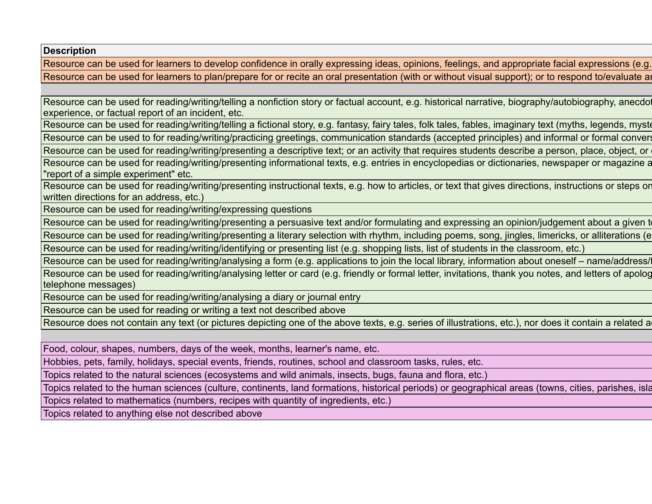Resource can be used for learners to develop confidence in orally expressing ideas, opinions, feelings, and appropriate facial expressions (e.g. Resource can be used for learners to plan/prepare for or recite an oral presentation (with or without visual support); or to respond to/evaluate an

Resource can be used for reading/writing/telling a nonfiction story or factual account, e.g. historical narrative, biography/autobiography, anecdot experience, or factual report of an incident, etc.

Resource can be used for reading/writing/telling a fictional story, e.g. fantasy, fairy tales, folk tales, fables, imaginary text (myths, legends, mystories), play-

Resource can be used to for reading/writing/practicing greetings, communication standards (accepted principles) and informal or formal conversed

Resource can be used for reading/writing/presenting a descriptive text; or an activity that requires students describe a person, place, object, or

Resource can be used for reading/writing/presenting informational texts, e.g. entries in encyclopedias or dictionaries, newspaper or magazine a "report of a simple experiment" etc.

Resource can be used for reading/writing/presenting instructional texts, e.g. how to articles, or text that gives directions, instructions or steps or written directions for an address, etc.)

Resource can be used for reading/writing/expressing questions

Resource can be used for reading/writing/presenting a persuasive text and/or formulating and expressing an opinion/judgement about a given to

Resource can be used for reading/writing/presenting a literary selection with rhythm, including poems, song, jingles, limericks, or alliterations (e. Resource can be used for reading/writing/identifying or presenting list (e.g. shopping lists, list of students in the classroom, etc.)

Resource can be used for reading/writing/analysing a form (e.g. applications to join the local library, information about oneself – name/address/

Resource can be used for reading/writing/analysing letter or card (e.g. friendly or formal letter, invitations, thank you notes, and letters of apolog telephone messages)

Resource can be used for reading/writing/analysing a diary or journal entry

Resource can be used for reading or writing a text not described above

Resource does not contain any text (or pictures depicting one of the above texts, e.g. series of illustrations, etc.), nor does it contain a related a

Food, colour, shapes, numbers, days of the week, months, learner's name, etc.

Hobbies, pets, family, holidays, special events, friends, routines, school and classroom tasks, rules, etc.

Topics related to the natural sciences (ecosystems and wild animals, insects, bugs, fauna and flora, etc.)

Topics related to the human sciences (culture, continents, land formations, historical periods) or geographical areas (towns, cities, parishes, isla

Topics related to mathematics (numbers, recipes with quantity of ingredients, etc.)

Topics related to anything else not described above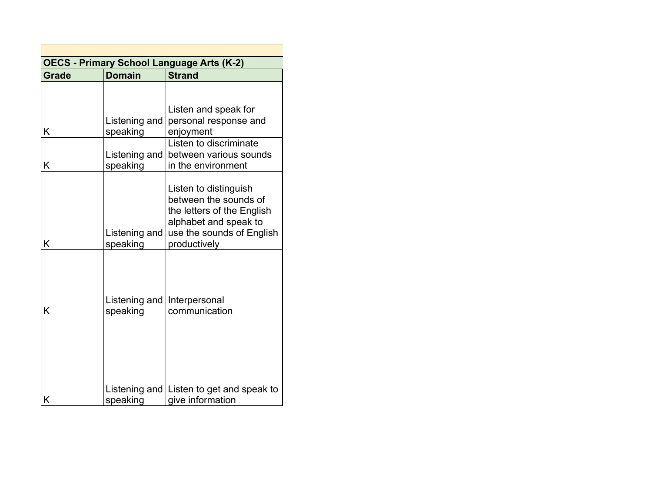| <b>OECS - Primary School Language Arts (K-2)</b> |                               |                                           |  |
|--------------------------------------------------|-------------------------------|-------------------------------------------|--|
| <b>Grade</b>                                     | <b>Domain</b>                 | <b>Strand</b>                             |  |
|                                                  |                               |                                           |  |
|                                                  |                               |                                           |  |
|                                                  |                               | Listen and speak for                      |  |
|                                                  | Listening and                 | personal response and                     |  |
| Κ                                                | speaking                      | enjoyment                                 |  |
|                                                  |                               | Listen to discriminate                    |  |
|                                                  | Listening and $ $             | between various sounds                    |  |
| Κ                                                | speaking                      | in the environment                        |  |
|                                                  |                               |                                           |  |
|                                                  |                               | Listen to distinguish                     |  |
|                                                  |                               | between the sounds of                     |  |
|                                                  |                               | the letters of the English                |  |
|                                                  |                               | alphabet and speak to                     |  |
| Κ                                                | Listening and                 | use the sounds of English<br>productively |  |
|                                                  | speaking                      |                                           |  |
|                                                  |                               |                                           |  |
|                                                  |                               |                                           |  |
|                                                  |                               |                                           |  |
|                                                  | Listening and   Interpersonal |                                           |  |
| Κ                                                | speaking                      | communication                             |  |
|                                                  |                               |                                           |  |
|                                                  |                               |                                           |  |
|                                                  |                               |                                           |  |
|                                                  |                               |                                           |  |
|                                                  |                               |                                           |  |
|                                                  |                               |                                           |  |
|                                                  |                               | Listening and Listen to get and speak to  |  |
| K                                                | speaking                      | give information                          |  |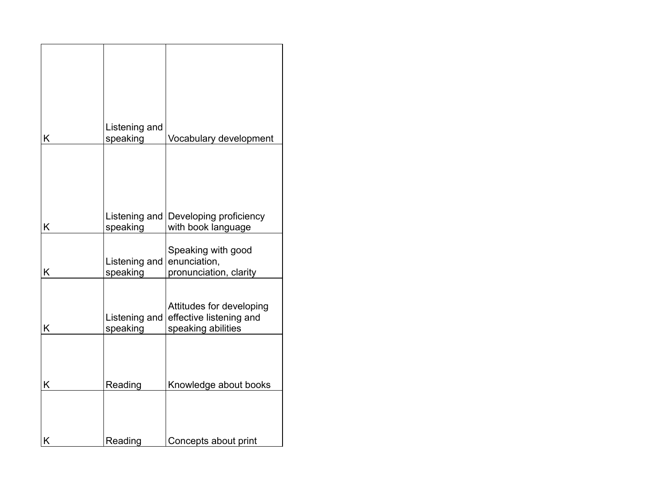| Κ | Listening and<br>speaking | Vocabulary development                                                    |
|---|---------------------------|---------------------------------------------------------------------------|
|   |                           |                                                                           |
| K | Listening and<br>speaking | Developing proficiency<br>with book language                              |
| Κ | Listening and<br>speaking | Speaking with good<br>enunciation,<br>pronunciation, clarity              |
| K | Listening and<br>speaking | Attitudes for developing<br>effective listening and<br>speaking abilities |
| K | Reading                   | Knowledge about books                                                     |
| Κ | Reading                   | Concepts about print                                                      |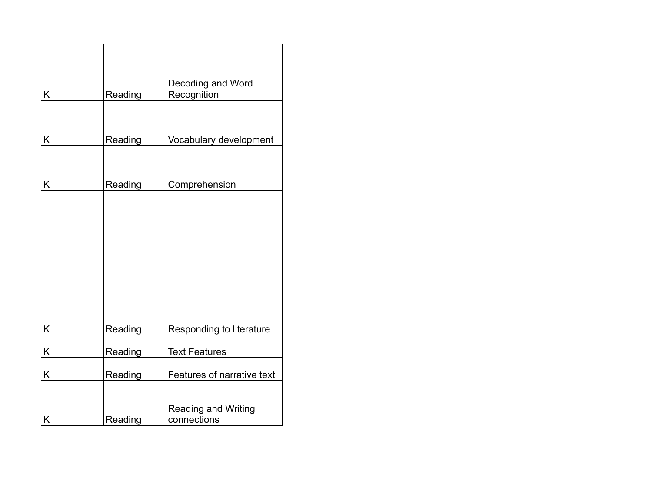| K | Reading | Decoding and Word<br>Recognition   |
|---|---------|------------------------------------|
|   |         |                                    |
| Κ | Reading | Vocabulary development             |
|   |         |                                    |
| Κ | Reading | Comprehension                      |
|   |         |                                    |
|   |         |                                    |
|   |         |                                    |
|   |         |                                    |
|   |         |                                    |
|   |         |                                    |
| Κ | Reading | Responding to literature           |
| Κ | Reading | <b>Text Features</b>               |
| K | Reading | Features of narrative text         |
|   |         |                                    |
| Κ | Reading | Reading and Writing<br>connections |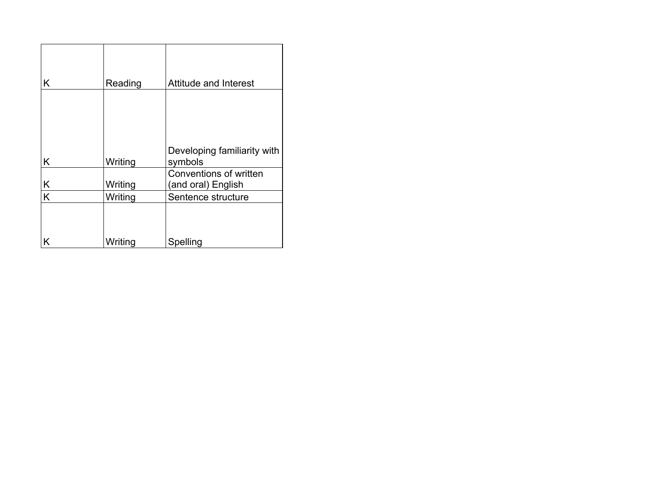| K  | Reading | <b>Attitude and Interest</b>           |
|----|---------|----------------------------------------|
|    |         |                                        |
| K  | Writing | Developing familiarity with<br>symbols |
|    |         | Conventions of written                 |
| K  | Writing | (and oral) English                     |
| Ιĸ | Writing | Sentence structure                     |
| ΙK | Writing | Spelling                               |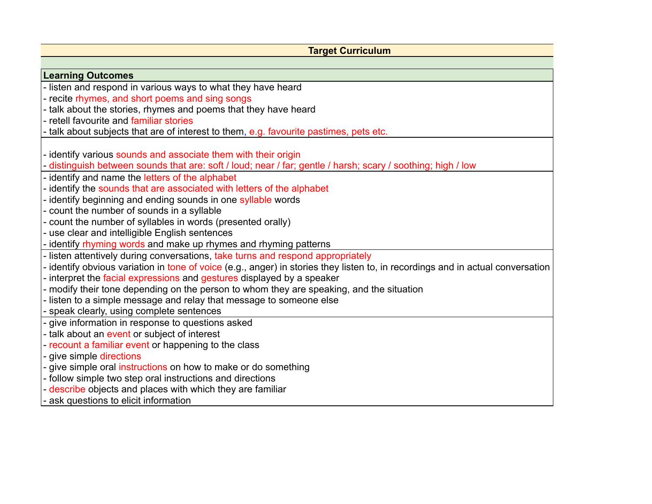| <b>Target Curriculum</b>                                                                                                        |
|---------------------------------------------------------------------------------------------------------------------------------|
|                                                                                                                                 |
| <b>Learning Outcomes</b>                                                                                                        |
| - listen and respond in various ways to what they have heard                                                                    |
| - recite rhymes, and short poems and sing songs                                                                                 |
| - talk about the stories, rhymes and poems that they have heard                                                                 |
| - retell favourite and familiar stories                                                                                         |
| - talk about subjects that are of interest to them, e.g. favourite pastimes, pets etc.                                          |
|                                                                                                                                 |
| - identify various sounds and associate them with their origin                                                                  |
| - distinguish between sounds that are: soft / loud; near / far; gentle / harsh; scary / soothing; high / low                    |
| - identify and name the letters of the alphabet                                                                                 |
| - identify the sounds that are associated with letters of the alphabet                                                          |
| - identify beginning and ending sounds in one syllable words                                                                    |
| - count the number of sounds in a syllable<br>- count the number of syllables in words (presented orally)                       |
| - use clear and intelligible English sentences                                                                                  |
| - identify rhyming words and make up rhymes and rhyming patterns                                                                |
| - listen attentively during conversations, take turns and respond appropriately                                                 |
| - identify obvious variation in tone of voice (e.g., anger) in stories they listen to, in recordings and in actual conversation |
| - interpret the facial expressions and gestures displayed by a speaker                                                          |
| - modify their tone depending on the person to whom they are speaking, and the situation                                        |
| - listen to a simple message and relay that message to someone else                                                             |
| - speak clearly, using complete sentences                                                                                       |
| - give information in response to questions asked                                                                               |
| - talk about an event or subject of interest                                                                                    |
| - recount a familiar event or happening to the class                                                                            |
| - give simple directions                                                                                                        |
| - give simple oral instructions on how to make or do something                                                                  |
| - follow simple two step oral instructions and directions                                                                       |
| - describe objects and places with which they are familiar                                                                      |
| - ask questions to elicit information                                                                                           |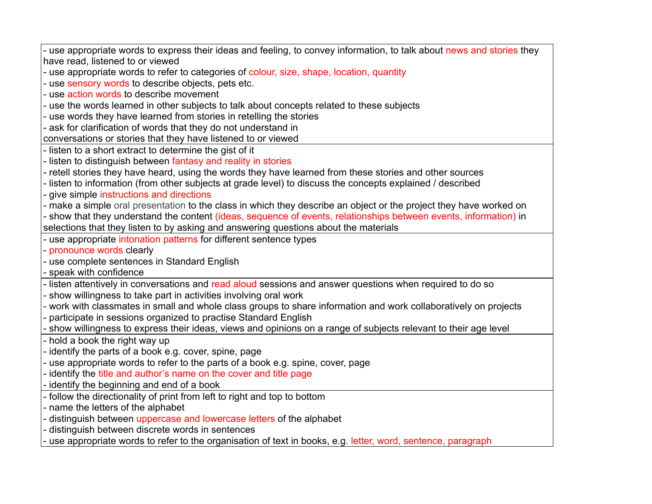use appropriate words to express their ideas and feeling, to convey information, to talk about news and stories they have read, listened to or viewed - use appropriate words to refer to categories of colour, size, shape, location, quantity - use sensory words to describe objects, pets etc. - use action words to describe movement - use the words learned in other subjects to talk about concepts related to these subjects - use words they have learned from stories in retelling the stories - ask for clarification of words that they do not understand in conversations or stories that they have listened to or viewed - listen to a short extract to determine the gist of it - listen to distinguish between fantasy and reality in stories - retell stories they have heard, using the words they have learned from these stories and other sources - listen to information (from other subjects at grade level) to discuss the concepts explained / described - give simple instructions and directions - make a simple oral presentation to the class in which they describe an object or the project they have worked on - show that they understand the content (ideas, sequence of events, relationships between events, information) in selections that they listen to by asking and answering questions about the materials use appropriate intonation patterns for different sentence types - pronounce words clearly - use complete sentences in Standard English - speak with confidence - listen attentively in conversations and read aloud sessions and answer questions when required to do so - show willingness to take part in activities involving oral work - work with classmates in small and whole class groups to share information and work collaboratively on projects participate in sessions organized to practise Standard English - show willingness to express their ideas, views and opinions on a range of subjects relevant to their age level - hold a book the right way up - identify the parts of a book e.g. cover, spine, page - use appropriate words to refer to the parts of a book e.g. spine, cover, page - identify the title and author's name on the cover and title page identify the beginning and end of a book - follow the directionality of print from left to right and top to bottom - name the letters of the alphabet distinguish between uppercase and lowercase letters of the alphabet - distinguish between discrete words in sentences use appropriate words to refer to the organisation of text in books, e.g. letter, word, sentence, paragraph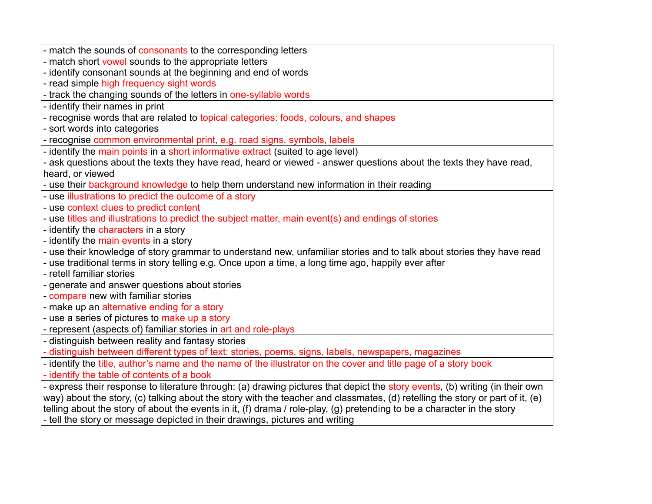| - match the sounds of consonants to the corresponding letters                                                                                                                                                                                                         |
|-----------------------------------------------------------------------------------------------------------------------------------------------------------------------------------------------------------------------------------------------------------------------|
| - match short vowel sounds to the appropriate letters                                                                                                                                                                                                                 |
| - identify consonant sounds at the beginning and end of words                                                                                                                                                                                                         |
| - read simple high frequency sight words                                                                                                                                                                                                                              |
| track the changing sounds of the letters in one-syllable words                                                                                                                                                                                                        |
| - identify their names in print                                                                                                                                                                                                                                       |
| - recognise words that are related to topical categories: foods, colours, and shapes                                                                                                                                                                                  |
| - sort words into categories                                                                                                                                                                                                                                          |
| - recognise common environmental print, e.g. road signs, symbols, labels                                                                                                                                                                                              |
| - identify the main points in a short informative extract (suited to age level)                                                                                                                                                                                       |
| - ask questions about the texts they have read, heard or viewed - answer questions about the texts they have read,                                                                                                                                                    |
| heard, or viewed                                                                                                                                                                                                                                                      |
| - use their background knowledge to help them understand new information in their reading                                                                                                                                                                             |
| - use illustrations to predict the outcome of a story                                                                                                                                                                                                                 |
| - use context clues to predict content                                                                                                                                                                                                                                |
| - use titles and illustrations to predict the subject matter, main event(s) and endings of stories                                                                                                                                                                    |
| - identify the characters in a story                                                                                                                                                                                                                                  |
| - identify the main events in a story                                                                                                                                                                                                                                 |
| - use their knowledge of story grammar to understand new, unfamiliar stories and to talk about stories they have read                                                                                                                                                 |
| use traditional terms in story telling e.g. Once upon a time, a long time ago, happily ever after                                                                                                                                                                     |
| - retell familiar stories                                                                                                                                                                                                                                             |
| - generate and answer questions about stories                                                                                                                                                                                                                         |
| - compare new with familiar stories                                                                                                                                                                                                                                   |
| - make up an alternative ending for a story                                                                                                                                                                                                                           |
| - use a series of pictures to make up a story                                                                                                                                                                                                                         |
| - represent (aspects of) familiar stories in art and role-plays                                                                                                                                                                                                       |
| distinguish between reality and fantasy stories                                                                                                                                                                                                                       |
| distinguish between different types of text: stories, poems, signs, labels, newspapers, magazines                                                                                                                                                                     |
| - identify the title, author's name and the name of the illustrator on the cover and title page of a story book                                                                                                                                                       |
| - identify the table of contents of a book                                                                                                                                                                                                                            |
| - express their response to literature through: (a) drawing pictures that depict the story events, (b) writing (in their own                                                                                                                                          |
| way) about the story, (c) talking about the story with the teacher and classmates, (d) retelling the story or part of it, (e)<br>. Mis a choose the estable of choose the company is it. (A) shown a further has followed as the choice of constants and continued as |

telling about the story of about the events in it, (f) drama / role-play, (g) pretending to be a character in the story - tell the story or message depicted in their drawings, pictures and writing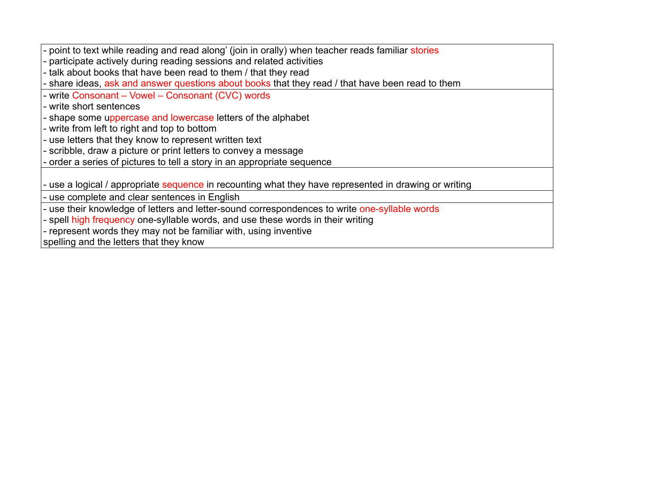point to text while reading and read along' (join in orally) when teacher reads familiar stories

participate actively during reading sessions and related activities

- talk about books that have been read to them / that they read

- share ideas, ask and answer questions about books that they read / that have been read to them

- write Consonant – Vowel – Consonant (CVC) words

- write short sentences

- shape some uppercase and lowercase letters of the alphabet

- write from left to right and top to bottom

- use letters that they know to represent written text

- scribble, draw a picture or print letters to convey a message

order a series of pictures to tell a story in an appropriate sequence

use a logical / appropriate sequence in recounting what they have represented in drawing or writing

use complete and clear sentences in English

use their knowledge of letters and letter-sound correspondences to write one-syllable words

- spell high frequency one-syllable words, and use these words in their writing

- represent words they may not be familiar with, using inventive

spelling and the letters that they know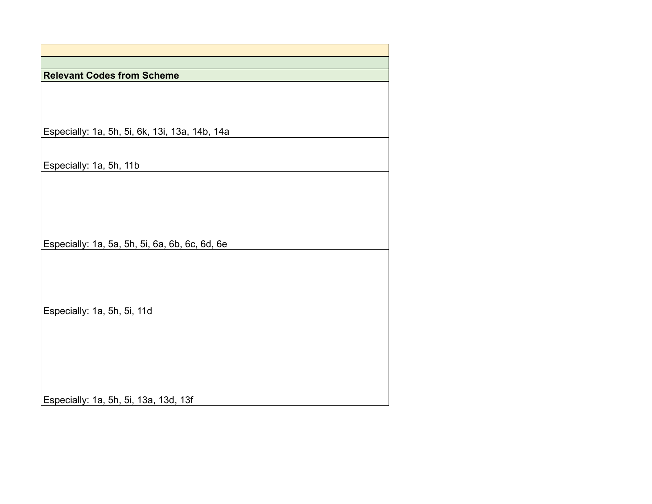| <b>Relevant Codes from Scheme</b>              |
|------------------------------------------------|
|                                                |
|                                                |
|                                                |
|                                                |
| Especially: 1a, 5h, 5i, 6k, 13i, 13a, 14b, 14a |
|                                                |
|                                                |
| Especially: 1a, 5h, 11b                        |
|                                                |
|                                                |
|                                                |
|                                                |
|                                                |
| Especially: 1a, 5a, 5h, 5i, 6a, 6b, 6c, 6d, 6e |
|                                                |
|                                                |
|                                                |
|                                                |
| Especially: 1a, 5h, 5i, 11d                    |
|                                                |
|                                                |
|                                                |
|                                                |
|                                                |
|                                                |
| Especially: 1a, 5h, 5i, 13a, 13d, 13f          |
|                                                |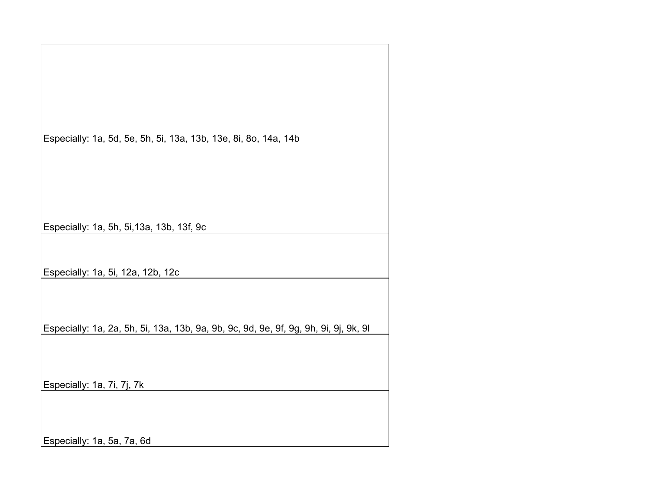| Especially: 1a, 5d, 5e, 5h, 5i, 13a, 13b, 13e, 8i, 8o, 14a, 14b                      |
|--------------------------------------------------------------------------------------|
|                                                                                      |
|                                                                                      |
|                                                                                      |
|                                                                                      |
|                                                                                      |
|                                                                                      |
|                                                                                      |
|                                                                                      |
| Especially: 1a, 5h, 5i, 13a, 13b, 13f, 9c                                            |
|                                                                                      |
|                                                                                      |
|                                                                                      |
| Especially: 1a, 5i, 12a, 12b, 12c                                                    |
|                                                                                      |
|                                                                                      |
|                                                                                      |
|                                                                                      |
|                                                                                      |
| Especially: 1a, 2a, 5h, 5i, 13a, 13b, 9a, 9b, 9c, 9d, 9e, 9f, 9g, 9h, 9i, 9j, 9k, 9l |
|                                                                                      |
|                                                                                      |
|                                                                                      |
|                                                                                      |
| Especially: 1a, 7i, 7j, 7k                                                           |
|                                                                                      |
|                                                                                      |
|                                                                                      |
|                                                                                      |
|                                                                                      |
| Especially: 1a, 5a, 7a, 6d                                                           |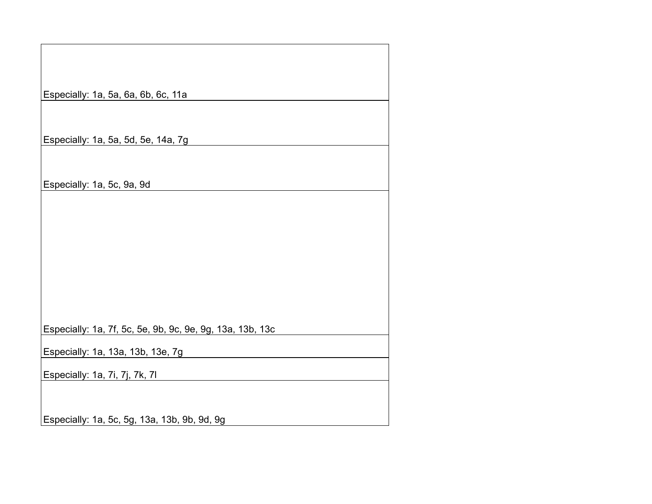| Especially: 1a, 5a, 6a, 6b, 6c, 11a                       |
|-----------------------------------------------------------|
|                                                           |
| Especially: 1a, 5a, 5d, 5e, 14a, 7g                       |
|                                                           |
| Especially: 1a, 5c, 9a, 9d                                |
|                                                           |
|                                                           |
|                                                           |
|                                                           |
|                                                           |
|                                                           |
| Especially: 1a, 7f, 5c, 5e, 9b, 9c, 9e, 9g, 13a, 13b, 13c |
| Especially: 1a, 13a, 13b, 13e, 7g                         |
| Especially: 1a, 7i, 7j, 7k, 7l                            |
|                                                           |
| Especially: 1a, 5c, 5g, 13a, 13b, 9b, 9d, 9g              |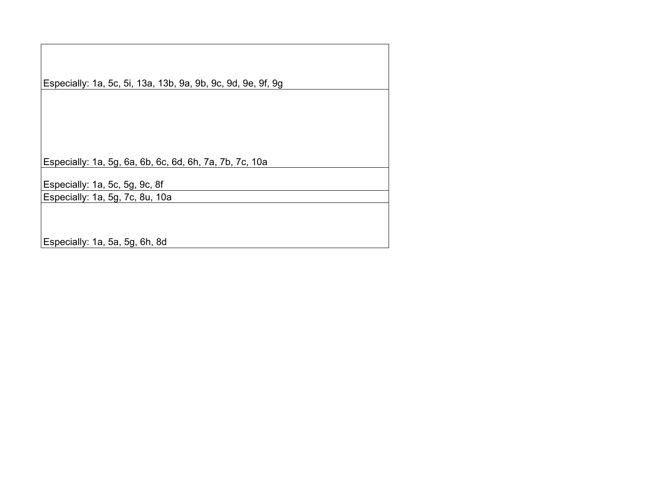Especially: 1a, 5c, 5i, 13a, 13b, 9a, 9b, 9c, 9d, 9e, 9f, 9g Especially: 1a, 5g, 6a, 6b, 6c, 6d, 6h, 7a, 7b, 7c, 10a Especially: 1a, 5c, 5g, 9c, 8f Especially: 1a, 5g, 7c, 8u, 10a Especially: 1a, 5a, 5g, 6h, 8d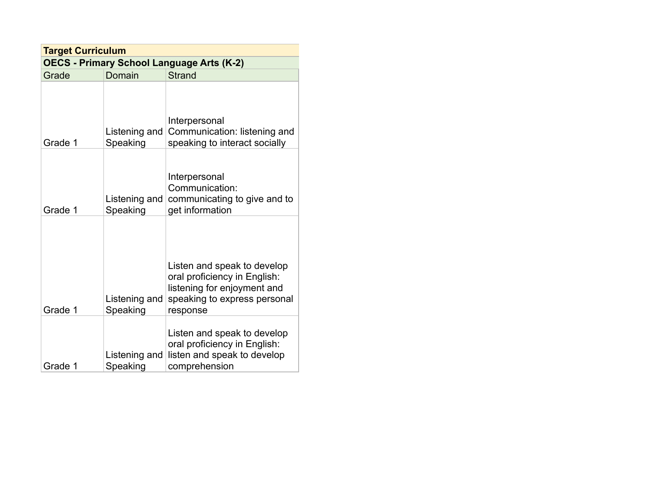| <b>Target Curriculum</b>                         |                           |                                                                                                                                        |
|--------------------------------------------------|---------------------------|----------------------------------------------------------------------------------------------------------------------------------------|
| <b>OECS - Primary School Language Arts (K-2)</b> |                           |                                                                                                                                        |
| Grade                                            | Domain                    | <b>Strand</b>                                                                                                                          |
| Grade 1                                          | Listening and<br>Speaking | Interpersonal<br>Communication: listening and<br>speaking to interact socially                                                         |
| Grade 1                                          | Listening and<br>Speaking | Interpersonal<br>Communication:<br>communicating to give and to<br>get information                                                     |
| Grade 1                                          | Listening and<br>Speaking | Listen and speak to develop<br>oral proficiency in English:<br>listening for enjoyment and<br>speaking to express personal<br>response |
| Grade 1                                          | Listening and<br>Speaking | Listen and speak to develop<br>oral proficiency in English:<br>listen and speak to develop<br>comprehension                            |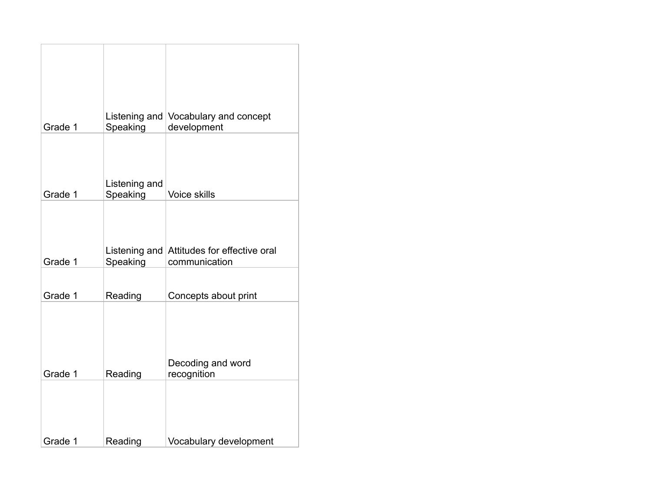| Grade 1 | Speaking                  | Listening and Vocabulary and concept<br>development         |
|---------|---------------------------|-------------------------------------------------------------|
| Grade 1 | Listening and<br>Speaking | <b>Voice skills</b>                                         |
| Grade 1 | Speaking                  | Listening and Attitudes for effective oral<br>communication |
| Grade 1 | Reading                   | Concepts about print                                        |
| Grade 1 | Reading                   | Decoding and word<br>recognition                            |
| Grade 1 | Reading                   | Vocabulary development                                      |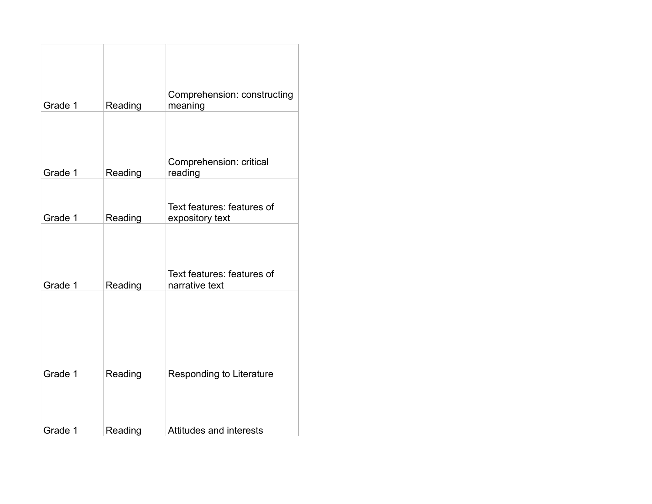| Grade 1 | Reading | Comprehension: constructing<br>meaning        |
|---------|---------|-----------------------------------------------|
| Grade 1 | Reading | Comprehension: critical<br>reading            |
| Grade 1 | Reading | Text features: features of<br>expository text |
| Grade 1 | Reading | Text features: features of<br>narrative text  |
|         |         |                                               |
| Grade 1 | Reading | Responding to Literature                      |
| Grade 1 | Reading | Attitudes and interests                       |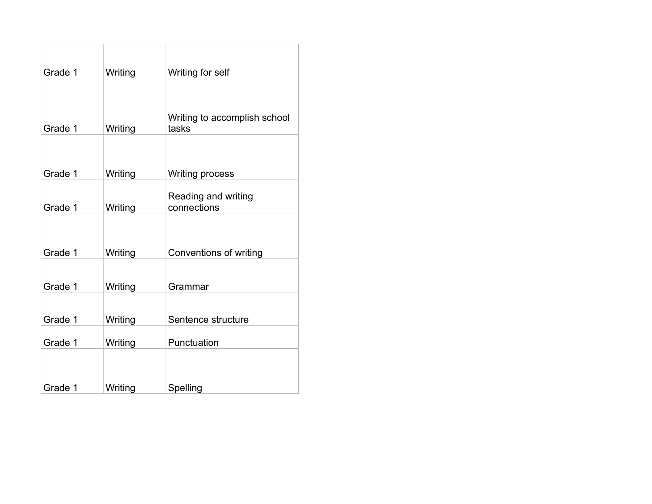| Grade 1 | Writing | Writing for self                      |
|---------|---------|---------------------------------------|
| Grade 1 | Writing | Writing to accomplish school<br>tasks |
| Grade 1 | Writing | <b>Writing process</b>                |
| Grade 1 | Writing | Reading and writing<br>connections    |
| Grade 1 | Writing | Conventions of writing                |
| Grade 1 | Writing | Grammar                               |
| Grade 1 | Writing | Sentence structure                    |
| Grade 1 | Writing | Punctuation                           |
| Grade 1 | Writing | Spelling                              |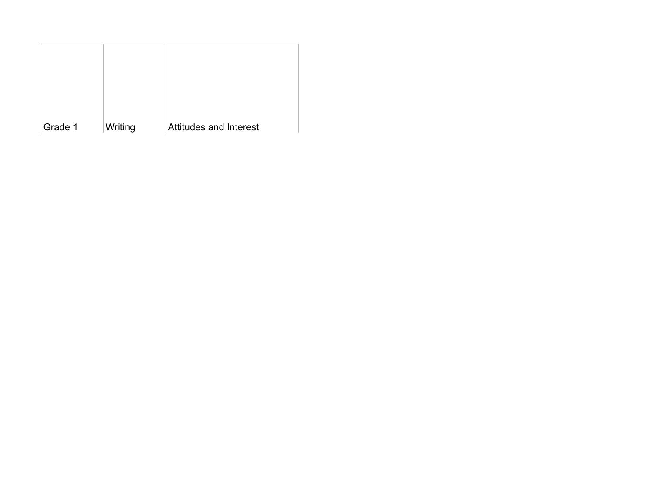| Grade 1 | Writing | <b>Attitudes and Interest</b> |
|---------|---------|-------------------------------|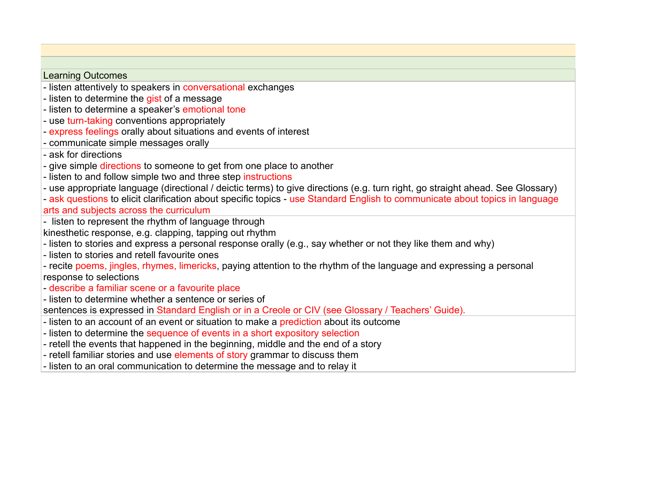## Learning Outcomes

- listen attentively to speakers in conversational exchanges
- listen to determine the gist of a message
- listen to determine a speaker's emotional tone
- use turn-taking conventions appropriately
- express feelings orally about situations and events of interest
- communicate simple messages orally
- ask for directions
- give simple directions to someone to get from one place to another
- listen to and follow simple two and three step instructions
- use appropriate language (directional / deictic terms) to give directions (e.g. turn right, go straight ahead. See Glossary)
- ask questions to elicit clarification about specific topics use Standard English to communicate about topics in language arts and subjects across the curriculum
- listen to represent the rhythm of language through
- kinesthetic response, e.g. clapping, tapping out rhythm
- listen to stories and express a personal response orally (e.g., say whether or not they like them and why)
- listen to stories and retell favourite ones
- recite poems, jingles, rhymes, limericks, paying attention to the rhythm of the language and expressing a personal response to selections
- describe a familiar scene or a favourite place
- listen to determine whether a sentence or series of

sentences is expressed in Standard English or in a Creole or CIV (see Glossary / Teachers' Guide).

- listen to an account of an event or situation to make a prediction about its outcome
- listen to determine the sequence of events in a short expository selection
- retell the events that happened in the beginning, middle and the end of a story
- retell familiar stories and use elements of story grammar to discuss them
- listen to an oral communication to determine the message and to relay it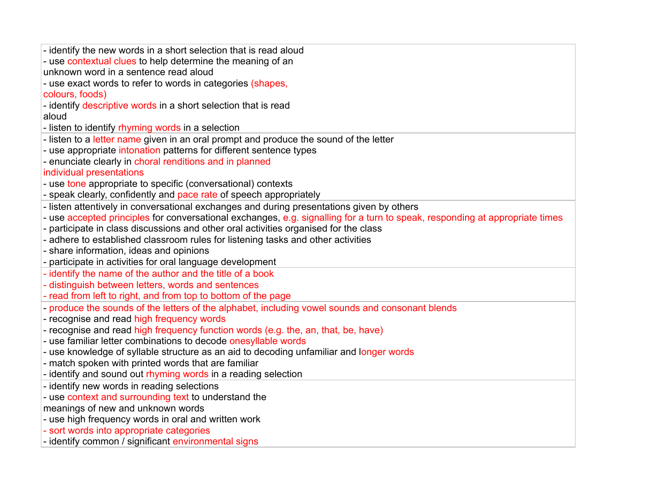| - identify the new words in a short selection that is read aloud                                                             |
|------------------------------------------------------------------------------------------------------------------------------|
| - use contextual clues to help determine the meaning of an                                                                   |
| unknown word in a sentence read aloud                                                                                        |
| - use exact words to refer to words in categories (shapes,                                                                   |
| colours, foods)                                                                                                              |
| - identify descriptive words in a short selection that is read                                                               |
| aloud                                                                                                                        |
| - listen to identify rhyming words in a selection                                                                            |
| - listen to a letter name given in an oral prompt and produce the sound of the letter                                        |
| - use appropriate intonation patterns for different sentence types                                                           |
| - enunciate clearly in choral renditions and in planned                                                                      |
| individual presentations                                                                                                     |
| - use tone appropriate to specific (conversational) contexts                                                                 |
| - speak clearly, confidently and pace rate of speech appropriately                                                           |
| - listen attentively in conversational exchanges and during presentations given by others                                    |
| - use accepted principles for conversational exchanges, e.g. signalling for a turn to speak, responding at appropriate times |
| - participate in class discussions and other oral activities organised for the class                                         |
| - adhere to established classroom rules for listening tasks and other activities                                             |
| - share information, ideas and opinions                                                                                      |
| - participate in activities for oral language development                                                                    |
| - identify the name of the author and the title of a book                                                                    |
| - distinguish between letters, words and sentences                                                                           |
| - read from left to right, and from top to bottom of the page                                                                |
| - produce the sounds of the letters of the alphabet, including vowel sounds and consonant blends                             |
| - recognise and read high frequency words                                                                                    |
| - recognise and read high frequency function words (e.g. the, an, that, be, have)                                            |
| - use familiar letter combinations to decode onesyllable words                                                               |
| - use knowledge of syllable structure as an aid to decoding unfamiliar and longer words                                      |
| - match spoken with printed words that are familiar                                                                          |
| - identify and sound out rhyming words in a reading selection                                                                |
| - identify new words in reading selections                                                                                   |
| - use context and surrounding text to understand the                                                                         |
| meanings of new and unknown words                                                                                            |
| - use high frequency words in oral and written work                                                                          |
|                                                                                                                              |
| - sort words into appropriate categories<br>- identify common / significant environmental signs                              |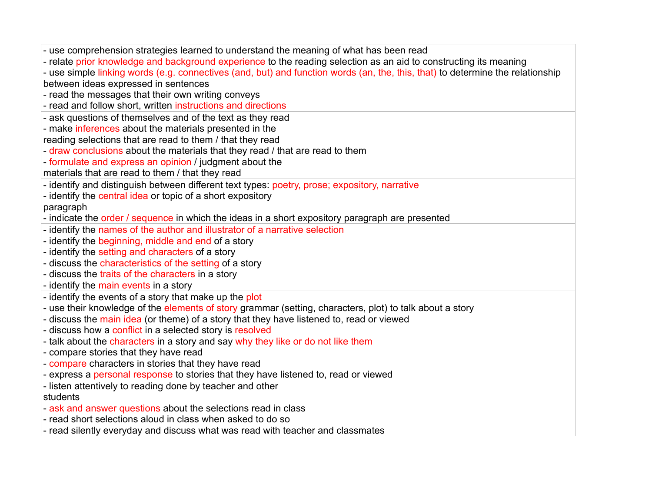| - use comprehension strategies learned to understand the meaning of what has been read                                         |
|--------------------------------------------------------------------------------------------------------------------------------|
| - relate prior knowledge and background experience to the reading selection as an aid to constructing its meaning              |
| - use simple linking words (e.g. connectives (and, but) and function words (an, the, this, that) to determine the relationship |
| between ideas expressed in sentences                                                                                           |
| - read the messages that their own writing conveys                                                                             |
| - read and follow short, written instructions and directions                                                                   |
| - ask questions of themselves and of the text as they read                                                                     |
| - make inferences about the materials presented in the                                                                         |
| reading selections that are read to them / that they read                                                                      |
| - draw conclusions about the materials that they read / that are read to them                                                  |
| - formulate and express an opinion / judgment about the                                                                        |
| materials that are read to them / that they read                                                                               |
| - identify and distinguish between different text types: poetry, prose; expository, narrative                                  |
| - identify the central idea or topic of a short expository                                                                     |
| paragraph                                                                                                                      |
| - indicate the order / sequence in which the ideas in a short expository paragraph are presented                               |
| - identify the names of the author and illustrator of a narrative selection                                                    |
| - identify the beginning, middle and end of a story                                                                            |
| - identify the setting and characters of a story                                                                               |
| - discuss the characteristics of the setting of a story                                                                        |
| - discuss the traits of the characters in a story                                                                              |
| - identify the main events in a story                                                                                          |
| - identify the events of a story that make up the plot                                                                         |
| - use their knowledge of the elements of story grammar (setting, characters, plot) to talk about a story                       |
| - discuss the main idea (or theme) of a story that they have listened to, read or viewed                                       |
| - discuss how a conflict in a selected story is resolved                                                                       |
| - talk about the characters in a story and say why they like or do not like them                                               |
| - compare stories that they have read                                                                                          |
| - compare characters in stories that they have read                                                                            |
| - express a personal response to stories that they have listened to, read or viewed                                            |
| - listen attentively to reading done by teacher and other                                                                      |
| students                                                                                                                       |
| - ask and answer questions about the selections read in class                                                                  |
| - read short selections aloud in class when asked to do so                                                                     |
| - read silently everyday and discuss what was read with teacher and classmates                                                 |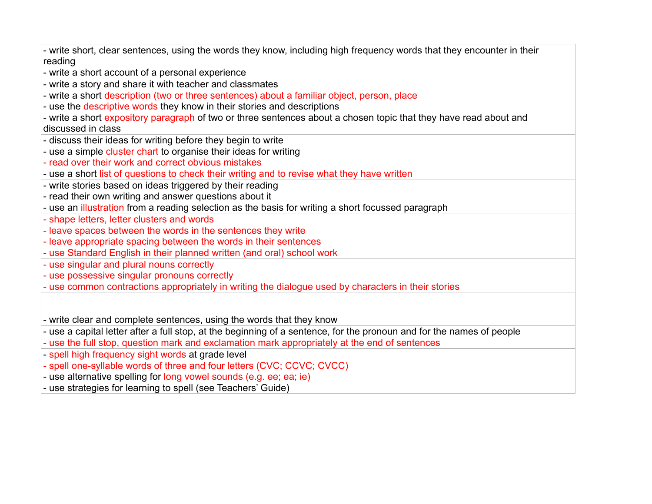- write short, clear sentences, using the words they know, including high frequency words that they encounter in their reading

- write a short account of a personal experience

- write a story and share it with teacher and classmates
- write a short description (two or three sentences) about a familiar object, person, place
- use the descriptive words they know in their stories and descriptions

- write a short expository paragraph of two or three sentences about a chosen topic that they have read about and discussed in class

- discuss their ideas for writing before they begin to write
- use a simple cluster chart to organise their ideas for writing
- read over their work and correct obvious mistakes
- use a short list of questions to check their writing and to revise what they have written
- write stories based on ideas triggered by their reading
- read their own writing and answer questions about it
- use an illustration from a reading selection as the basis for writing a short focussed paragraph
- shape letters, letter clusters and words
- leave spaces between the words in the sentences they write
- leave appropriate spacing between the words in their sentences
- use Standard English in their planned written (and oral) school work
- use singular and plural nouns correctly
- use possessive singular pronouns correctly
- use common contractions appropriately in writing the dialogue used by characters in their stories

- write clear and complete sentences, using the words that they know

- use a capital letter after a full stop, at the beginning of a sentence, for the pronoun and for the names of people
- use the full stop, question mark and exclamation mark appropriately at the end of sentences
- spell high frequency sight words at grade level
- spell one-syllable words of three and four letters (CVC; CCVC; CVCC)
- use alternative spelling for long vowel sounds (e.g. ee; ea; ie)
- use strategies for learning to spell (see Teachers' Guide)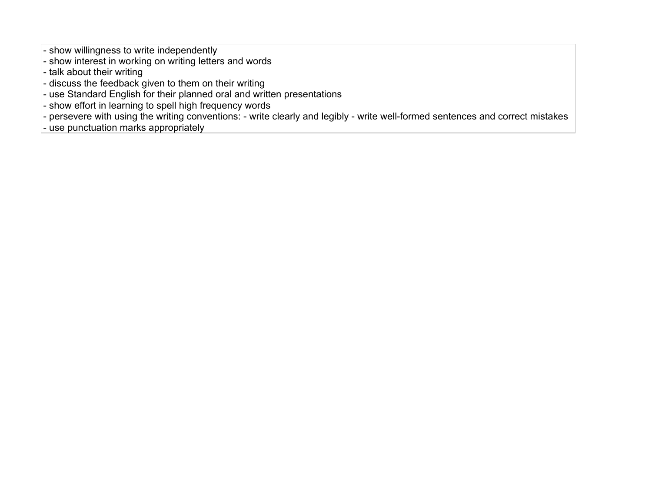- show willingness to write independently

- show interest in working on writing letters and words
- talk about their writing
- discuss the feedback given to them on their writing
- use Standard English for their planned oral and written presentations
- show effort in learning to spell high frequency words
- persevere with using the writing conventions: write clearly and legibly write well-formed sentences and correct mistakes
- use punctuation marks appropriately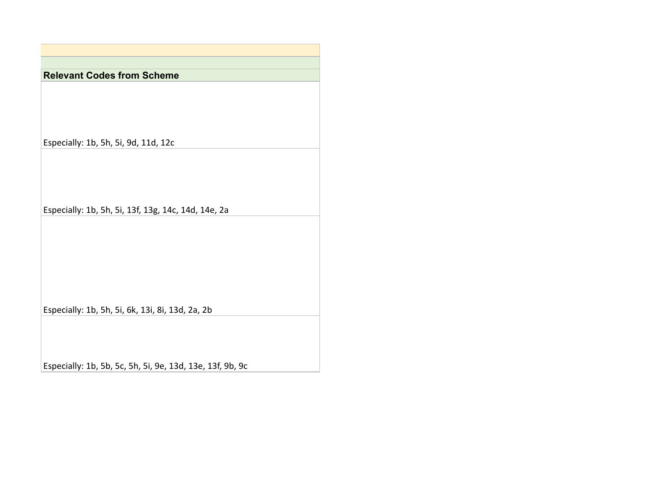**Relevant Codes from Scheme**

Especially: 1b, 5h, 5i, 9d, 11d, 12c

Especially: 1b, 5h, 5i, 13f, 13g, 14c, 14d, 14e, 2a

Especially: 1b, 5h, 5i, 6k, 13i, 8i, 13d, 2a, 2b

Especially: 1b, 5b, 5c, 5h, 5i, 9e, 13d, 13e, 13f, 9b, 9c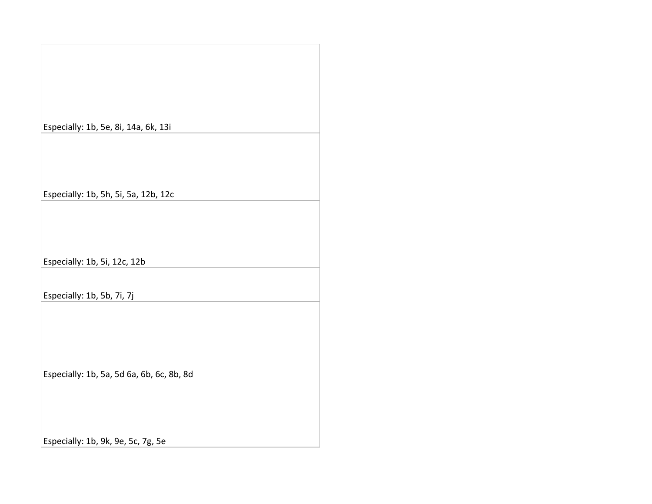| Especially: 1b, 5e, 8i, 14a, 6k, 13i      |  |
|-------------------------------------------|--|
|                                           |  |
| Especially: 1b, 5h, 5i, 5a, 12b, 12c      |  |
|                                           |  |
| Especially: 1b, 5i, 12c, 12b              |  |
| Especially: 1b, 5b, 7i, 7j                |  |
|                                           |  |
| Especially: 1b, 5a, 5d 6a, 6b, 6c, 8b, 8d |  |
|                                           |  |

Especially: 1b, 9k, 9e, 5c, 7g, 5e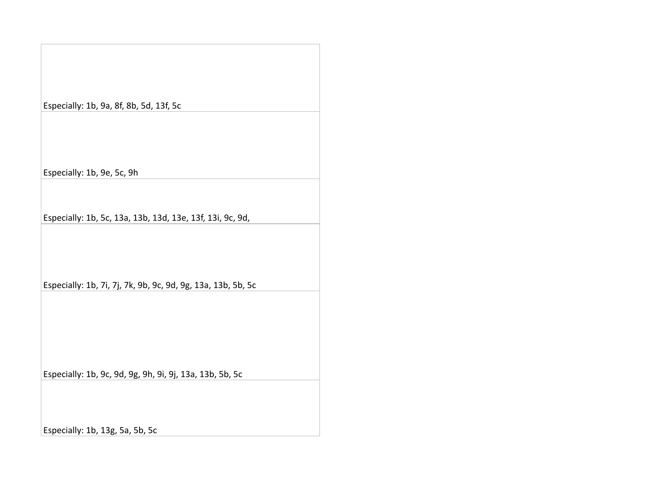## Especially: 1b, 9a, 8f, 8b, 5d, 13f, 5c

Especially: 1b, 9e, 5c, 9h

Especially: 1b, 5c, 13a, 13b, 13d, 13e, 13f, 13i, 9c, 9d,

Especially: 1b, 7i, 7j, 7k, 9b, 9c, 9d, 9g, 13a, 13b, 5b, 5c

Especially: 1b, 9c, 9d, 9g, 9h, 9i, 9j, 13a, 13b, 5b, 5c

Especially: 1b, 13g, 5a, 5b, 5c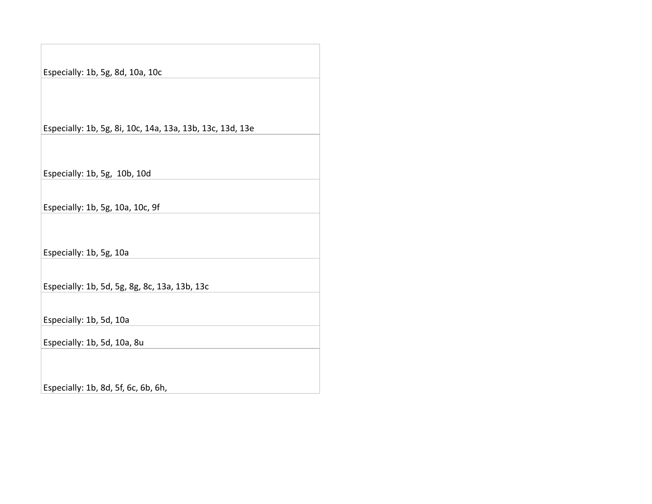Especially: 1b, 5g, 8d, 10a, 10c

Especially: 1b, 5g, 8i, 10c, 14a, 13a, 13b, 13c, 13d, 13e

Especially: 1b, 5g, 10b, 10d

Especially: 1b, 5g, 10a, 10c, 9f

Especially: 1b, 5g, 10a

Especially: 1b, 5d, 5g, 8g, 8c, 13a, 13b, 13c

Especially: 1b, 5d, 10a

Especially: 1b, 5d, 10a, 8u

Especially: 1b, 8d, 5f, 6c, 6b, 6h,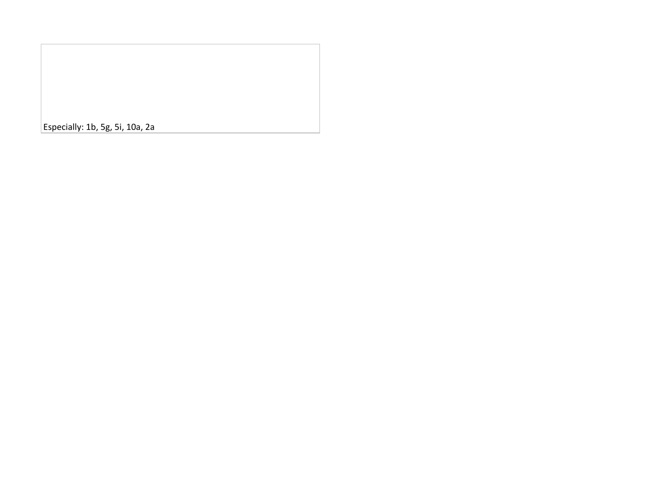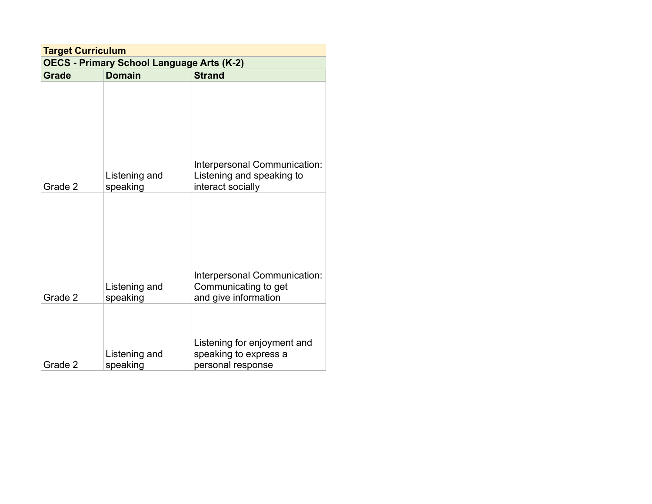| <b>Target Curriculum</b> |                                                  |                                                                              |
|--------------------------|--------------------------------------------------|------------------------------------------------------------------------------|
|                          | <b>OECS - Primary School Language Arts (K-2)</b> |                                                                              |
| <b>Grade</b>             | <b>Domain</b>                                    | <b>Strand</b>                                                                |
|                          | Listening and                                    | Interpersonal Communication:<br>Listening and speaking to                    |
| Grade 2                  | speaking                                         | interact socially                                                            |
|                          |                                                  |                                                                              |
| Grade 2                  | Listening and<br>speaking                        | Interpersonal Communication:<br>Communicating to get<br>and give information |
| Grade 2                  | Listening and<br>speaking                        | Listening for enjoyment and<br>speaking to express a<br>personal response    |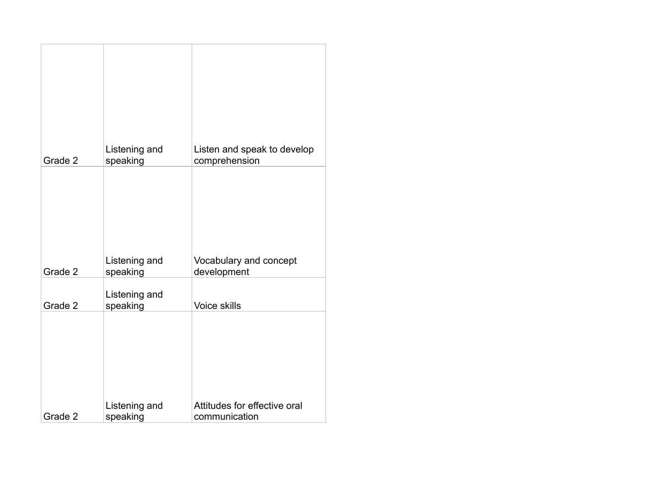| Grade 2 | Listening and<br>speaking | Listen and speak to develop<br>comprehension  |
|---------|---------------------------|-----------------------------------------------|
|         |                           |                                               |
| Grade 2 | Listening and<br>speaking | Vocabulary and concept<br>development         |
|         |                           |                                               |
| Grade 2 | Listening and<br>speaking | Voice skills                                  |
| Grade 2 | Listening and<br>speaking | Attitudes for effective oral<br>communication |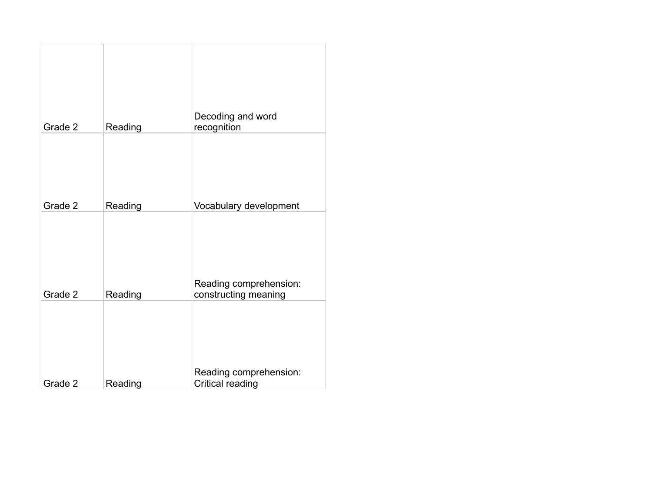| Grade 2 | Reading | Decoding and word<br>recognition               |
|---------|---------|------------------------------------------------|
| Grade 2 | Reading | Vocabulary development                         |
| Grade 2 | Reading | Reading comprehension:<br>constructing meaning |
| Grade 2 | Reading | Reading comprehension:<br>Critical reading     |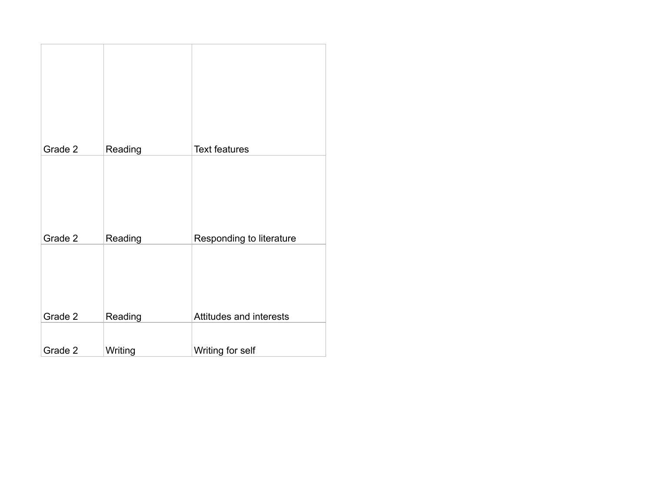| Grade 2 | Reading | <b>Text features</b>     |
|---------|---------|--------------------------|
|         |         |                          |
| Grade 2 | Reading | Responding to literature |
| Grade 2 | Reading | Attitudes and interests  |
|         |         |                          |
| Grade 2 | Writing | Writing for self         |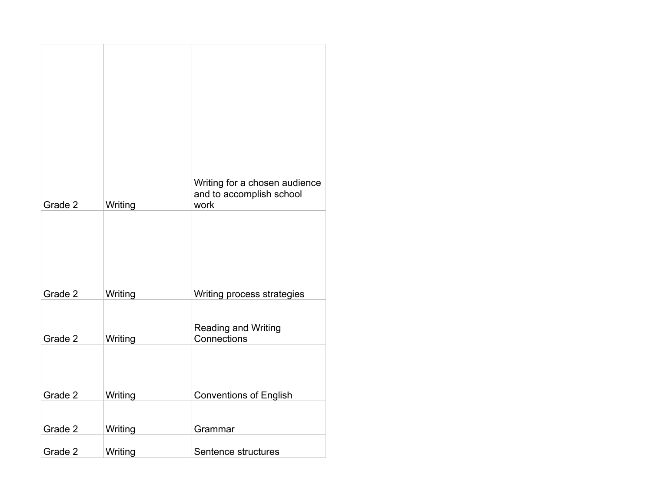| Grade 2 | Writing | Writing for a chosen audience<br>and to accomplish school<br>work |
|---------|---------|-------------------------------------------------------------------|
| Grade 2 | Writing | Writing process strategies                                        |
| Grade 2 | Writing | <b>Reading and Writing</b><br>Connections                         |
|         |         |                                                                   |
| Grade 2 | Writing | <b>Conventions of English</b>                                     |
| Grade 2 | Writing | Grammar                                                           |
| Grade 2 | Writing | Sentence structures                                               |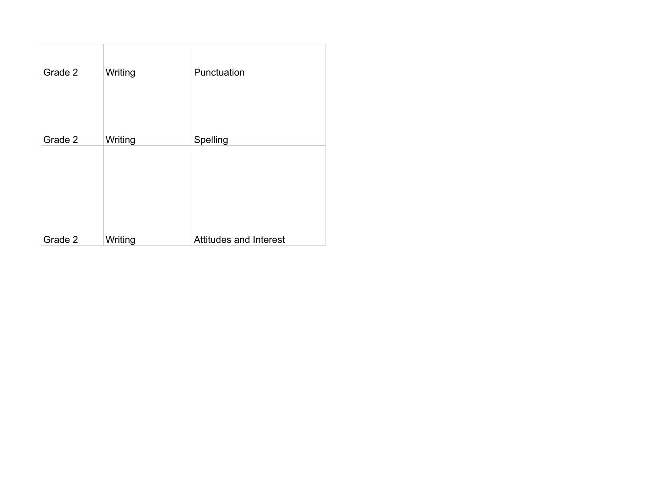| Grade 2 | Writing | Punctuation                   |
|---------|---------|-------------------------------|
|         |         |                               |
|         |         |                               |
| Grade 2 | Writing | Spelling                      |
|         |         |                               |
| Grade 2 | Writing | <b>Attitudes and Interest</b> |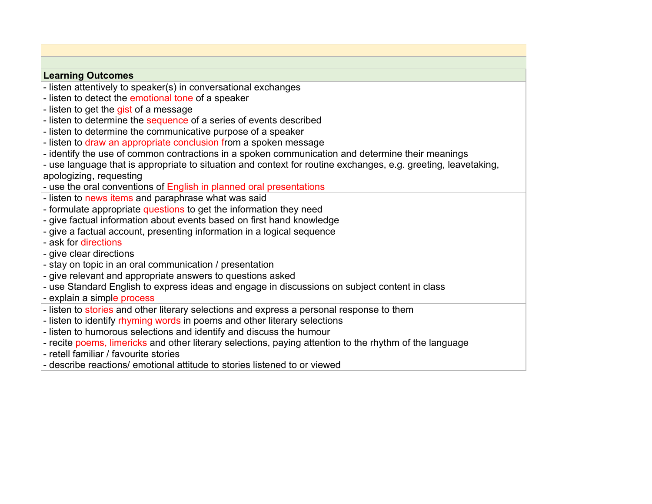## **Learning Outcomes**

- listen attentively to speaker(s) in conversational exchanges
- listen to detect the emotional tone of a speaker
- listen to get the gist of a message
- listen to determine the sequence of a series of events described
- listen to determine the communicative purpose of a speaker
- listen to draw an appropriate conclusion from a spoken message
- identify the use of common contractions in a spoken communication and determine their meanings
- use language that is appropriate to situation and context for routine exchanges, e.g. greeting, leavetaking, apologizing, requesting
- use the oral conventions of English in planned oral presentations
- listen to news items and paraphrase what was said
- formulate appropriate questions to get the information they need
- give factual information about events based on first hand knowledge
- give a factual account, presenting information in a logical sequence
- ask for directions
- give clear directions
- stay on topic in an oral communication / presentation
- give relevant and appropriate answers to questions asked
- use Standard English to express ideas and engage in discussions on subject content in class
- explain a simple process
- listen to stories and other literary selections and express a personal response to them
- listen to identify rhyming words in poems and other literary selections
- listen to humorous selections and identify and discuss the humour
- recite poems, limericks and other literary selections, paying attention to the rhythm of the language
- retell familiar / favourite stories
- describe reactions/ emotional attitude to stories listened to or viewed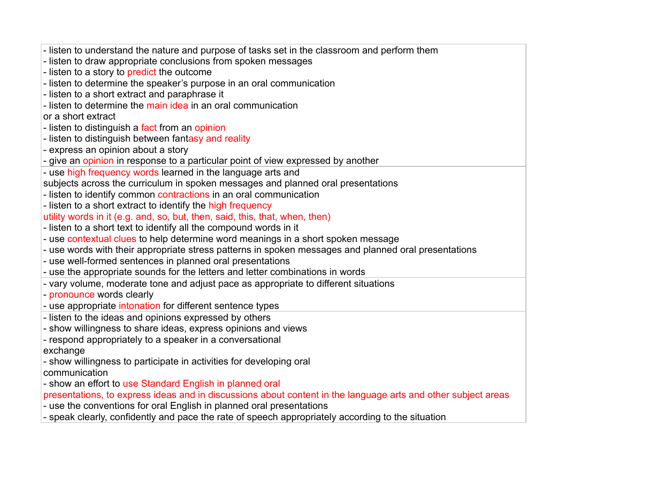| - listen to understand the nature and purpose of tasks set in the classroom and perform them                  |
|---------------------------------------------------------------------------------------------------------------|
| - listen to draw appropriate conclusions from spoken messages                                                 |
| - listen to a story to predict the outcome                                                                    |
| - listen to determine the speaker's purpose in an oral communication                                          |
| - listen to a short extract and paraphrase it                                                                 |
| - listen to determine the main idea in an oral communication                                                  |
| or a short extract                                                                                            |
| - listen to distinguish a fact from an opinion                                                                |
| - listen to distinguish between fantasy and reality                                                           |
| - express an opinion about a story                                                                            |
| - give an opinion in response to a particular point of view expressed by another                              |
| - use high frequency words learned in the language arts and                                                   |
| subjects across the curriculum in spoken messages and planned oral presentations                              |
| - listen to identify common contractions in an oral communication                                             |
| - listen to a short extract to identify the high frequency                                                    |
| utility words in it (e.g. and, so, but, then, said, this, that, when, then)                                   |
| - listen to a short text to identify all the compound words in it                                             |
| - use contextual clues to help determine word meanings in a short spoken message                              |
| - use words with their appropriate stress patterns in spoken messages and planned oral presentations          |
| - use well-formed sentences in planned oral presentations                                                     |
| - use the appropriate sounds for the letters and letter combinations in words                                 |
| - vary volume, moderate tone and adjust pace as appropriate to different situations                           |
| - pronounce words clearly                                                                                     |
| - use appropriate intonation for different sentence types                                                     |
| - listen to the ideas and opinions expressed by others                                                        |
| - show willingness to share ideas, express opinions and views                                                 |
| - respond appropriately to a speaker in a conversational                                                      |
| exchange                                                                                                      |
| - show willingness to participate in activities for developing oral                                           |
| communication                                                                                                 |
| - show an effort to use Standard English in planned oral                                                      |
| presentations, to express ideas and in discussions about content in the language arts and other subject areas |
| - use the conventions for oral English in planned oral presentations                                          |
| - speak clearly, confidently and pace the rate of speech appropriately according to the situation             |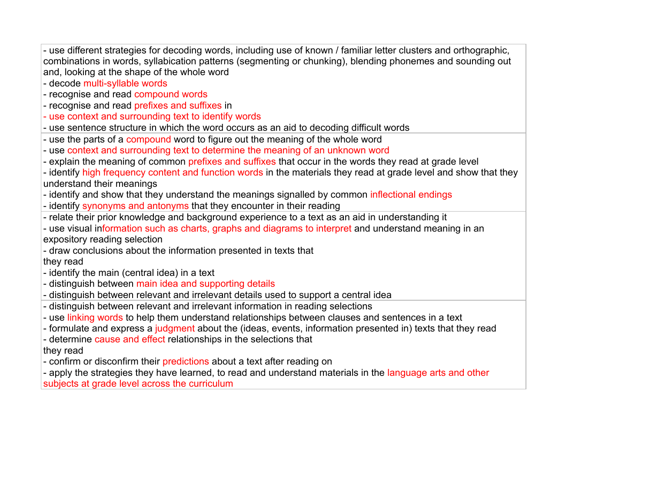| - use different strategies for decoding words, including use of known / familiar letter clusters and orthographic,<br>combinations in words, syllabication patterns (segmenting or chunking), blending phonemes and sounding out<br>and, looking at the shape of the whole word<br>- decode multi-syllable words<br>- recognise and read compound words<br>- recognise and read prefixes and suffixes in<br>- use context and surrounding text to identify words |
|------------------------------------------------------------------------------------------------------------------------------------------------------------------------------------------------------------------------------------------------------------------------------------------------------------------------------------------------------------------------------------------------------------------------------------------------------------------|
| - use sentence structure in which the word occurs as an aid to decoding difficult words                                                                                                                                                                                                                                                                                                                                                                          |
| - use the parts of a compound word to figure out the meaning of the whole word                                                                                                                                                                                                                                                                                                                                                                                   |
| - use context and surrounding text to determine the meaning of an unknown word                                                                                                                                                                                                                                                                                                                                                                                   |
| - explain the meaning of common prefixes and suffixes that occur in the words they read at grade level                                                                                                                                                                                                                                                                                                                                                           |
| - identify high frequency content and function words in the materials they read at grade level and show that they                                                                                                                                                                                                                                                                                                                                                |
| understand their meanings                                                                                                                                                                                                                                                                                                                                                                                                                                        |
| - identify and show that they understand the meanings signalled by common inflectional endings                                                                                                                                                                                                                                                                                                                                                                   |
| - identify synonyms and antonyms that they encounter in their reading                                                                                                                                                                                                                                                                                                                                                                                            |
| - relate their prior knowledge and background experience to a text as an aid in understanding it                                                                                                                                                                                                                                                                                                                                                                 |
| - use visual information such as charts, graphs and diagrams to interpret and understand meaning in an                                                                                                                                                                                                                                                                                                                                                           |
| expository reading selection                                                                                                                                                                                                                                                                                                                                                                                                                                     |
| - draw conclusions about the information presented in texts that                                                                                                                                                                                                                                                                                                                                                                                                 |
| they read<br>- identify the main (central idea) in a text                                                                                                                                                                                                                                                                                                                                                                                                        |
| - distinguish between main idea and supporting details                                                                                                                                                                                                                                                                                                                                                                                                           |
| - distinguish between relevant and irrelevant details used to support a central idea                                                                                                                                                                                                                                                                                                                                                                             |
| - distinguish between relevant and irrelevant information in reading selections                                                                                                                                                                                                                                                                                                                                                                                  |
| - use linking words to help them understand relationships between clauses and sentences in a text                                                                                                                                                                                                                                                                                                                                                                |
| - formulate and express a judgment about the (ideas, events, information presented in) texts that they read                                                                                                                                                                                                                                                                                                                                                      |
| - determine cause and effect relationships in the selections that                                                                                                                                                                                                                                                                                                                                                                                                |
| they read                                                                                                                                                                                                                                                                                                                                                                                                                                                        |
| - confirm or disconfirm their predictions about a text after reading on                                                                                                                                                                                                                                                                                                                                                                                          |
| - apply the strategies they have learned, to read and understand materials in the language arts and other                                                                                                                                                                                                                                                                                                                                                        |

subjects at grade level across the curriculum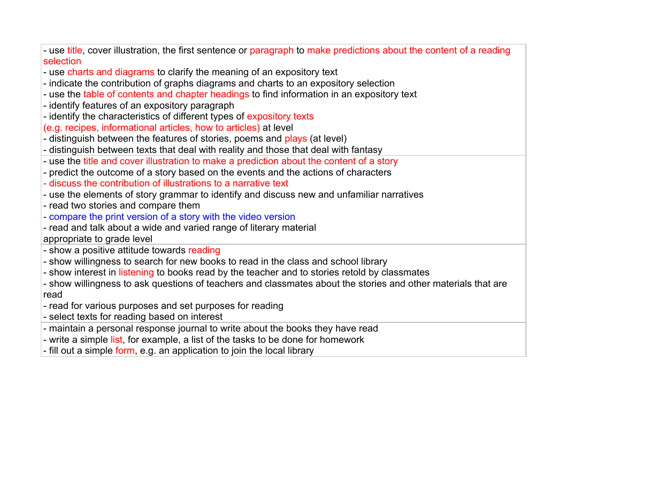| - use title, cover illustration, the first sentence or paragraph to make predictions about the content of a reading<br>selection |
|----------------------------------------------------------------------------------------------------------------------------------|
| - use charts and diagrams to clarify the meaning of an expository text                                                           |
| - indicate the contribution of graphs diagrams and charts to an expository selection                                             |
| - use the table of contents and chapter headings to find information in an expository text                                       |
|                                                                                                                                  |
| - identify features of an expository paragraph                                                                                   |
| - identify the characteristics of different types of expository texts                                                            |
| (e.g. recipes, informational articles, how to articles) at level                                                                 |
| - distinguish between the features of stories, poems and plays (at level)                                                        |
| - distinguish between texts that deal with reality and those that deal with fantasy                                              |
| - use the title and cover illustration to make a prediction about the content of a story                                         |
| - predict the outcome of a story based on the events and the actions of characters                                               |
| - discuss the contribution of illustrations to a narrative text                                                                  |
| - use the elements of story grammar to identify and discuss new and unfamiliar narratives                                        |
| - read two stories and compare them                                                                                              |
| - compare the print version of a story with the video version                                                                    |
| - read and talk about a wide and varied range of literary material                                                               |
| appropriate to grade level                                                                                                       |
| - show a positive attitude towards reading                                                                                       |
| - show willingness to search for new books to read in the class and school library                                               |
| - show interest in listening to books read by the teacher and to stories retold by classmates                                    |
| - show willingness to ask questions of teachers and classmates about the stories and other materials that are                    |
| read                                                                                                                             |
| - read for various purposes and set purposes for reading                                                                         |
| - select texts for reading based on interest                                                                                     |
| - maintain a personal response journal to write about the books they have read                                                   |
| - write a simple list, for example, a list of the tasks to be done for homework                                                  |
| - fill out a simple form, e.g. an application to join the local library                                                          |
|                                                                                                                                  |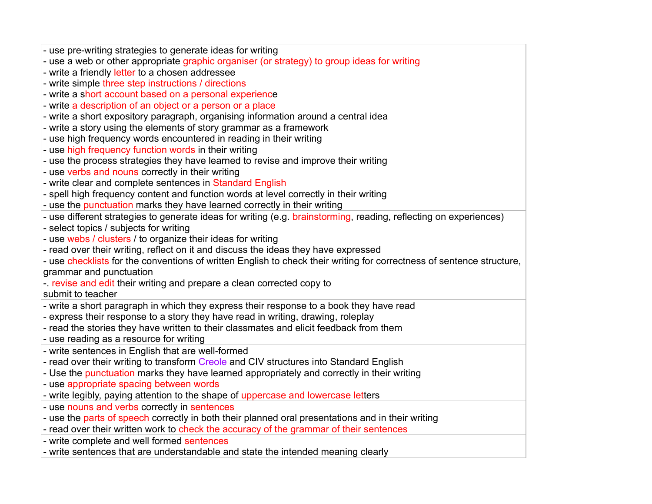| - use pre-writing strategies to generate ideas for writing                                                            |
|-----------------------------------------------------------------------------------------------------------------------|
| - use a web or other appropriate graphic organiser (or strategy) to group ideas for writing                           |
| - write a friendly letter to a chosen addressee                                                                       |
| - write simple three step instructions / directions                                                                   |
| - write a short account based on a personal experience                                                                |
| - write a description of an object or a person or a place                                                             |
| - write a short expository paragraph, organising information around a central idea                                    |
| - write a story using the elements of story grammar as a framework                                                    |
| - use high frequency words encountered in reading in their writing                                                    |
| - use high frequency function words in their writing                                                                  |
| - use the process strategies they have learned to revise and improve their writing                                    |
| - use verbs and nouns correctly in their writing                                                                      |
| - write clear and complete sentences in Standard English                                                              |
| - spell high frequency content and function words at level correctly in their writing                                 |
| - use the punctuation marks they have learned correctly in their writing                                              |
| - use different strategies to generate ideas for writing (e.g. brainstorming, reading, reflecting on experiences)     |
| - select topics / subjects for writing                                                                                |
| - use webs / clusters / to organize their ideas for writing                                                           |
| - read over their writing, reflect on it and discuss the ideas they have expressed                                    |
| - use checklists for the conventions of written English to check their writing for correctness of sentence structure, |
| grammar and punctuation                                                                                               |
| - revise and edit their writing and prepare a clean corrected copy to                                                 |
| submit to teacher                                                                                                     |
| - write a short paragraph in which they express their response to a book they have read                               |
| - express their response to a story they have read in writing, drawing, roleplay                                      |
| - read the stories they have written to their classmates and elicit feedback from them                                |
| - use reading as a resource for writing                                                                               |
| - write sentences in English that are well-formed                                                                     |
| - read over their writing to transform Creole and CIV structures into Standard English                                |
| - Use the punctuation marks they have learned appropriately and correctly in their writing                            |
| - use appropriate spacing between words                                                                               |
| - write legibly, paying attention to the shape of uppercase and lowercase letters                                     |
| - use nouns and verbs correctly in sentences                                                                          |
| - use the parts of speech correctly in both their planned oral presentations and in their writing                     |
| - read over their written work to check the accuracy of the grammar of their sentences                                |
| - write complete and well formed sentences                                                                            |
| - write sentences that are understandable and state the intended meaning clearly                                      |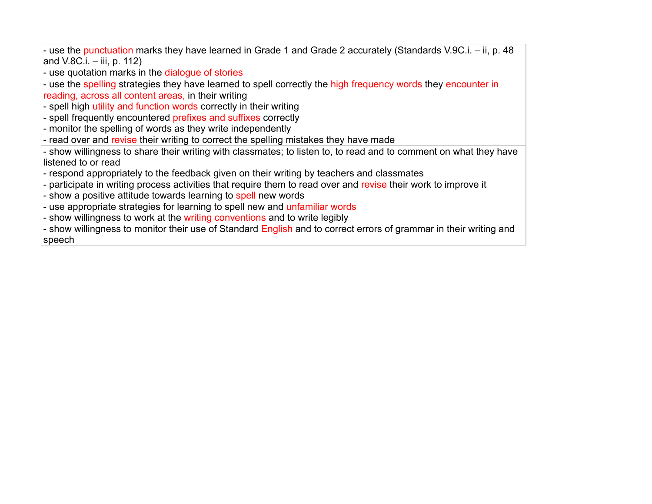- use the punctuation marks they have learned in Grade 1 and Grade 2 accurately (Standards V.9C.i. – ii, p. 48 and V.8C.i. – iii, p. 112)

- use quotation marks in the dialogue of stories

- use the spelling strategies they have learned to spell correctly the high frequency words they encounter in reading, across all content areas, in their writing

- spell high utility and function words correctly in their writing

- spell frequently encountered prefixes and suffixes correctly
- monitor the spelling of words as they write independently
- read over and revise their writing to correct the spelling mistakes they have made
- show willingness to share their writing with classmates; to listen to, to read and to comment on what they have listened to or read
- respond appropriately to the feedback given on their writing by teachers and classmates
- participate in writing process activities that require them to read over and revise their work to improve it
- show a positive attitude towards learning to spell new words
- use appropriate strategies for learning to spell new and unfamiliar words
- show willingness to work at the writing conventions and to write legibly

- show willingness to monitor their use of Standard English and to correct errors of grammar in their writing and speech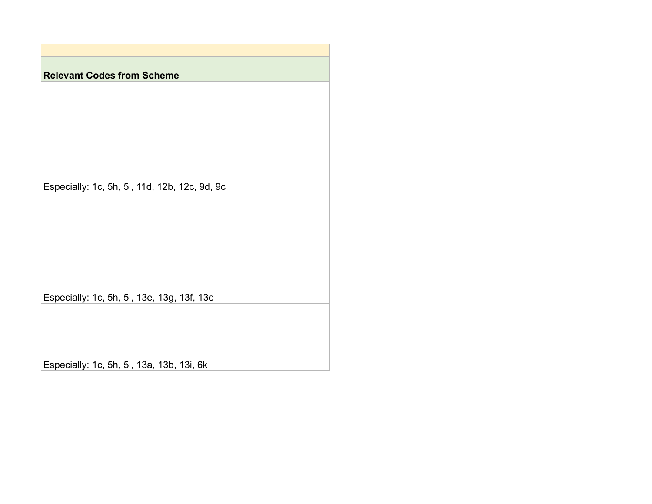**Relevant Codes from Scheme**

Especially: 1c, 5h, 5i, 11d, 12b, 12c, 9d, 9c

Especially: 1c, 5h, 5i, 13e, 13g, 13f, 13e

Especially: 1c, 5h, 5i, 13a, 13b, 13i, 6k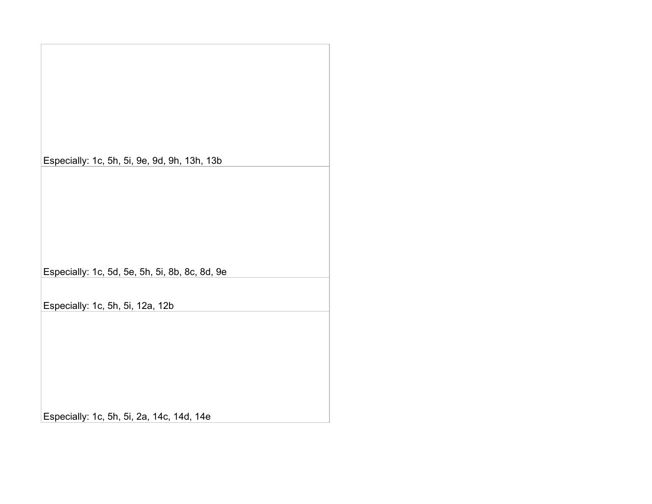Especially: 1c, 5h, 5i, 9e, 9d, 9h, 13h, 13b

Especially: 1c, 5d, 5e, 5h, 5i, 8b, 8c, 8d, 9e

Especially: 1c, 5h, 5i, 12a, 12b

Especially: 1c, 5h, 5i, 2a, 14c, 14d, 14e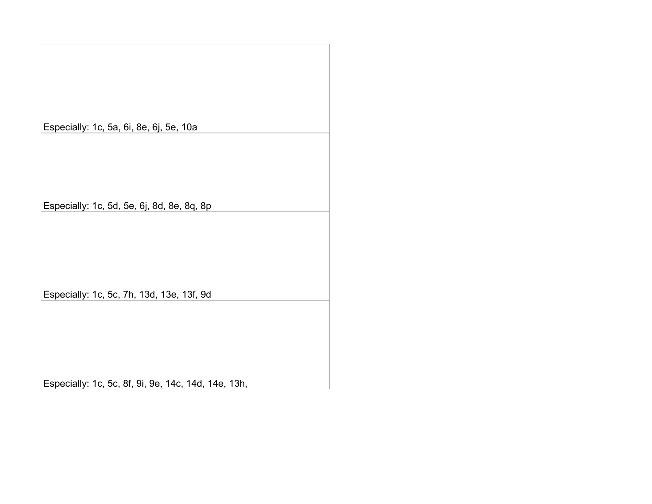Especially: 1c, 5a, 6i, 8e, 6j, 5e, 10a Especially: 1c, 5d, 5e, 6j, 8d, 8e, 8q, 8p

Especially: 1c, 5c, 7h, 13d, 13e, 13f, 9d

Especially: 1c, 5c, 8f, 9i, 9e, 14c, 14d, 14e, 13h,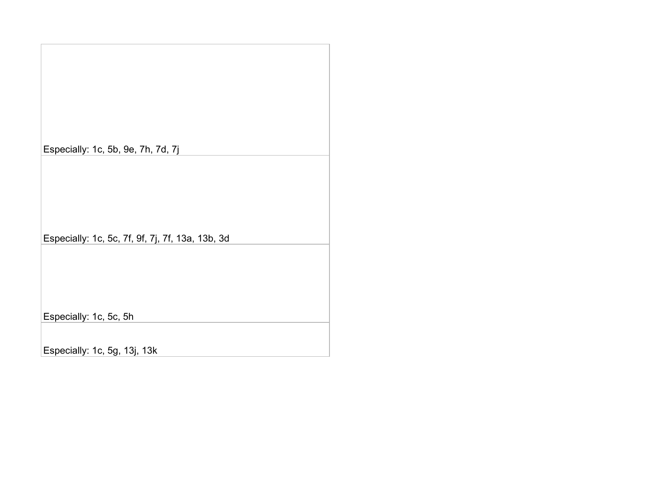Especially: 1c, 5b, 9e, 7h, 7d, 7j Especially: 1c, 5c, 7f, 9f, 7j, 7f, 13a, 13b, 3d

Especially: 1c, 5c, 5h

Especially: 1c, 5g, 13j, 13k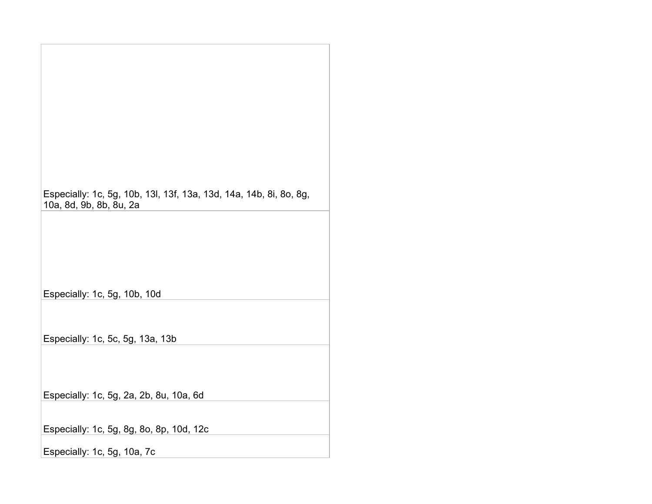| Especially: 1c, 5g, 10b, 13l, 13f, 13a, 13d, 14a, 14b, 8i, 8o, 8g,<br>10a, 8d, 9b, 8b, 8u, 2a |
|-----------------------------------------------------------------------------------------------|
|                                                                                               |
| Especially: 1c, 5g, 10b, 10d                                                                  |
| Especially: 1c, 5c, 5g, 13a, 13b                                                              |
| Especially: 1c, 5g, 2a, 2b, 8u, 10a, 6d                                                       |
| Especially: 1c, 5g, 8g, 8o, 8p, 10d, 12c                                                      |
| Especially: 1c, 5g, 10a, 7c                                                                   |

 $\mathbb{R}^n$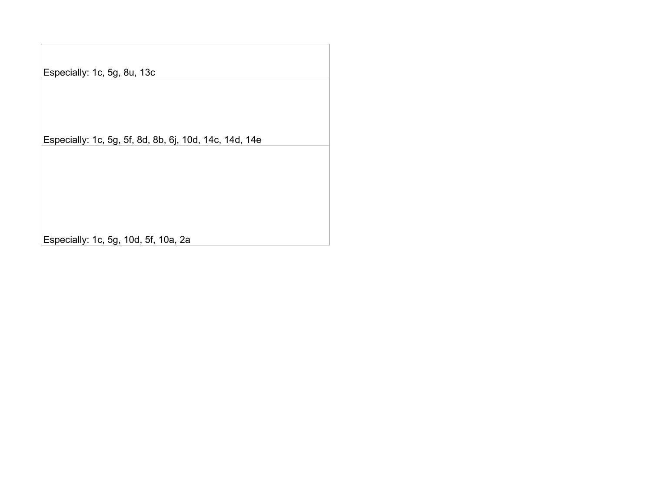Especially: 1c, 5g, 8u, 13c

Especially: 1c, 5g, 5f, 8d, 8b, 6j, 10d, 14c, 14d, 14e

Especially: 1c, 5g, 10d, 5f, 10a, 2a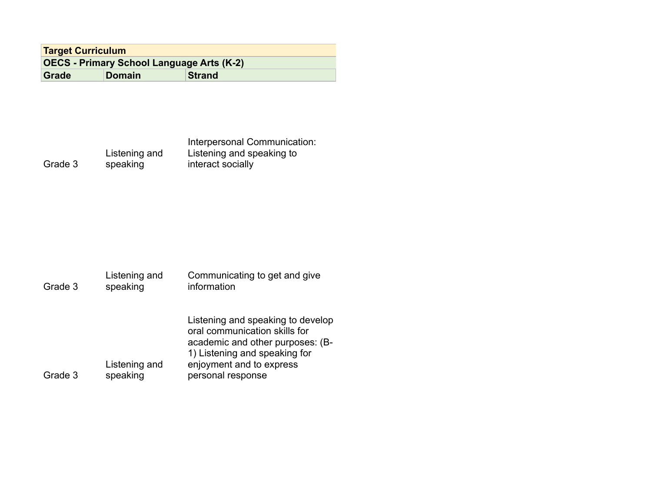| <b>Target Curriculum</b>                         |  |
|--------------------------------------------------|--|
| <b>OECS - Primary School Language Arts (K-2)</b> |  |
| Grade<br><b>Strand</b><br><b>Domain</b>          |  |

|         |               | Interpersonal Communication: |
|---------|---------------|------------------------------|
|         | Listening and | Listening and speaking to    |
| Grade 3 | speaking      | interact socially            |

| Grade 3 | Listening and<br>speaking | Communicating to get and give<br>information                                                                                                                                             |
|---------|---------------------------|------------------------------------------------------------------------------------------------------------------------------------------------------------------------------------------|
| Grade 3 | Listening and<br>speaking | Listening and speaking to develop<br>oral communication skills for<br>academic and other purposes: (B-<br>1) Listening and speaking for<br>enjoyment and to express<br>personal response |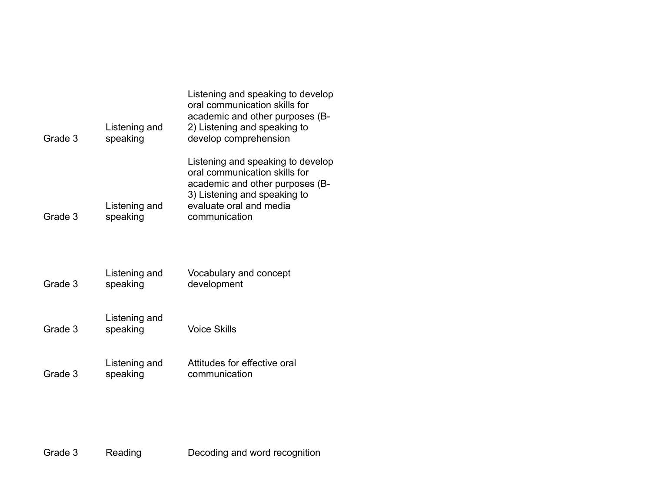| Grade 3 | Listening and<br>speaking | Listening and speaking to develop<br>oral communication skills for<br>academic and other purposes (B-<br>2) Listening and speaking to<br>develop comprehension                    |
|---------|---------------------------|-----------------------------------------------------------------------------------------------------------------------------------------------------------------------------------|
| Grade 3 | Listening and<br>speaking | Listening and speaking to develop<br>oral communication skills for<br>academic and other purposes (B-<br>3) Listening and speaking to<br>evaluate oral and media<br>communication |
| Grade 3 | Listening and<br>speaking | Vocabulary and concept<br>development                                                                                                                                             |
| Grade 3 | Listening and<br>speaking | <b>Voice Skills</b>                                                                                                                                                               |
| Grade 3 | Listening and<br>speaking | Attitudes for effective oral<br>communication                                                                                                                                     |

Grade 3 Reading Decoding and word recognition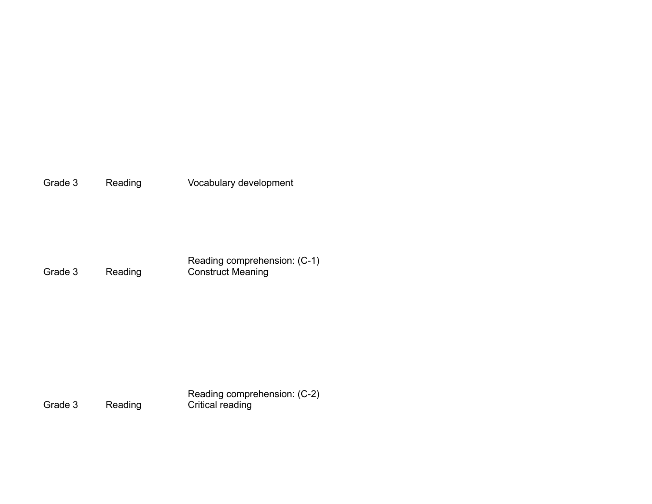Grade 3 Reading Vocabulary development

Grade 3 Reading Reading comprehension: (C-1) Construct Meaning

Grade 3 Reading Reading comprehension: (C-2) Critical reading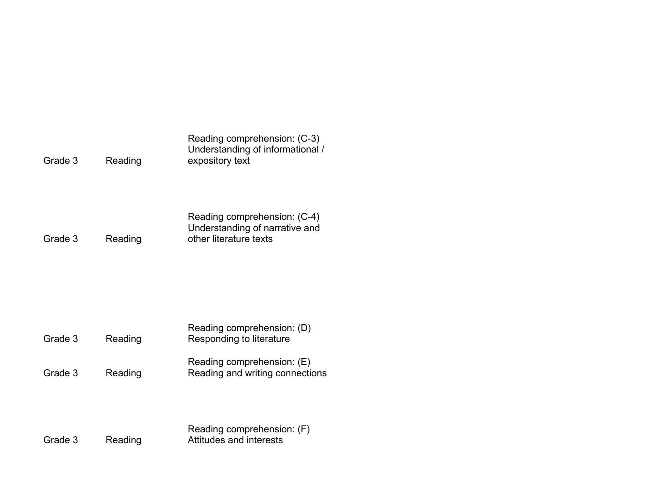| Reading | Reading comprehension: (C-3)<br>Understanding of informational /<br>expository text      |
|---------|------------------------------------------------------------------------------------------|
| Reading | Reading comprehension: (C-4)<br>Understanding of narrative and<br>other literature texts |
| Reading | Reading comprehension: (D)<br>Responding to literature                                   |
| Reading | Reading comprehension: (E)<br>Reading and writing connections                            |
|         |                                                                                          |

|         |         | Reading comprehension: (F) |
|---------|---------|----------------------------|
| Grade 3 | Reading | Attitudes and interests    |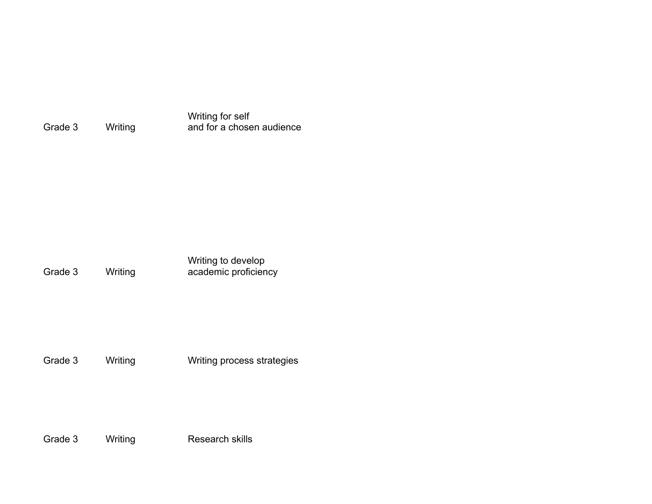Grade 3 Writing Writing for self and for a chosen audience

Grade 3 Writing Writing to develop academic proficiency

Grade 3 Writing Writing process strategies

Grade 3 Writing Research skills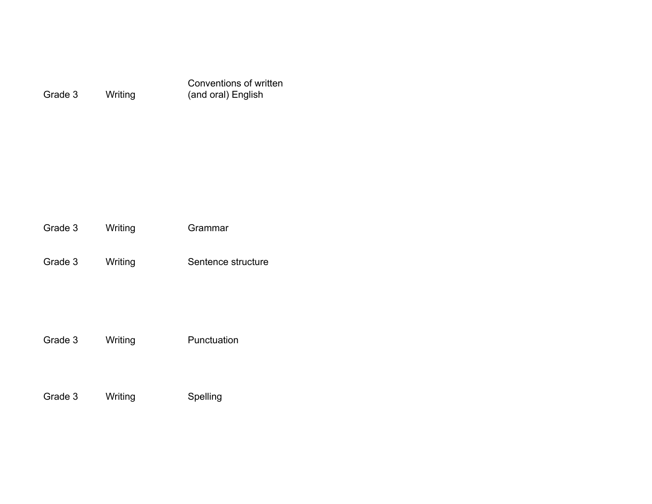|         |         | Conventions of written |
|---------|---------|------------------------|
| Grade 3 | Writing | (and oral) English     |

| Grade 3 | Writing | Grammar |  |
|---------|---------|---------|--|
|         |         |         |  |
|         |         |         |  |

Grade 3 Writing Sentence structure

Grade 3 Writing Punctuation

Grade 3 Writing Spelling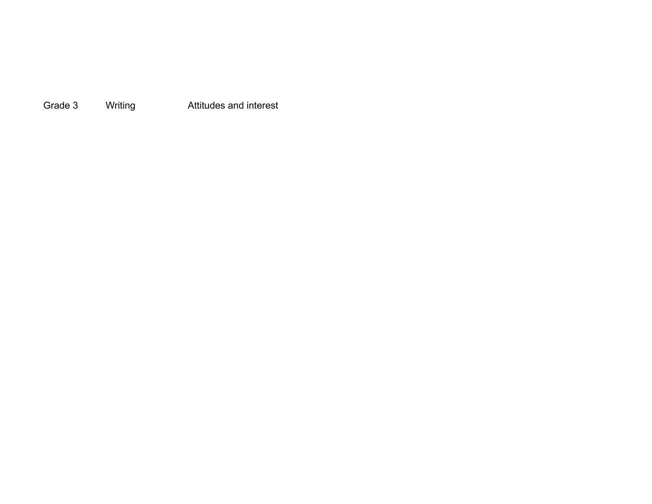Grade 3 Writing **Attitudes and interest**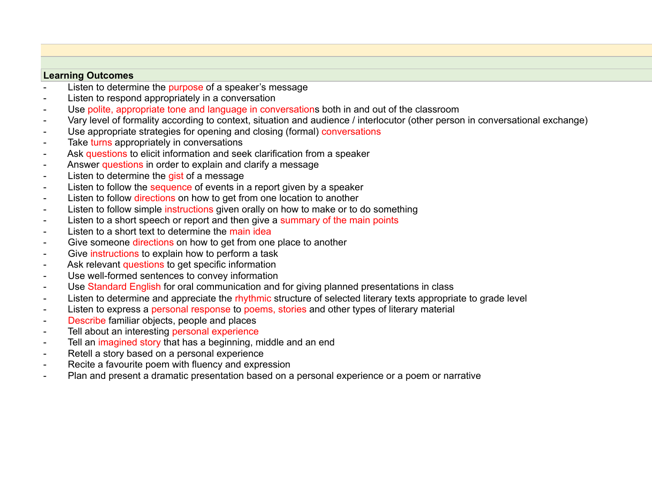## **Learning Outcomes**

- Listen to determine the purpose of a speaker's message
- Listen to respond appropriately in a conversation
- Use polite, appropriate tone and language in conversations both in and out of the classroom
- Vary level of formality according to context, situation and audience / interlocutor (other person in conversational exchange)
- Use appropriate strategies for opening and closing (formal) conversations
- Take turns appropriately in conversations
- Ask questions to elicit information and seek clarification from a speaker
- Answer questions in order to explain and clarify a message
- Listen to determine the gist of a message
- Listen to follow the sequence of events in a report given by a speaker
- Listen to follow directions on how to get from one location to another
- Listen to follow simple instructions given orally on how to make or to do something
- Listen to a short speech or report and then give a summary of the main points
- Listen to a short text to determine the main idea
- Give someone directions on how to get from one place to another
- Give instructions to explain how to perform a task
- Ask relevant questions to get specific information
- Use well-formed sentences to convey information
- Use Standard English for oral communication and for giving planned presentations in class
- Listen to determine and appreciate the rhythmic structure of selected literary texts appropriate to grade level
- Listen to express a personal response to poems, stories and other types of literary material
- Describe familiar objects, people and places
- Tell about an interesting personal experience
- Tell an imagined story that has a beginning, middle and an end
- Retell a story based on a personal experience
- Recite a favourite poem with fluency and expression
- Plan and present a dramatic presentation based on a personal experience or a poem or narrative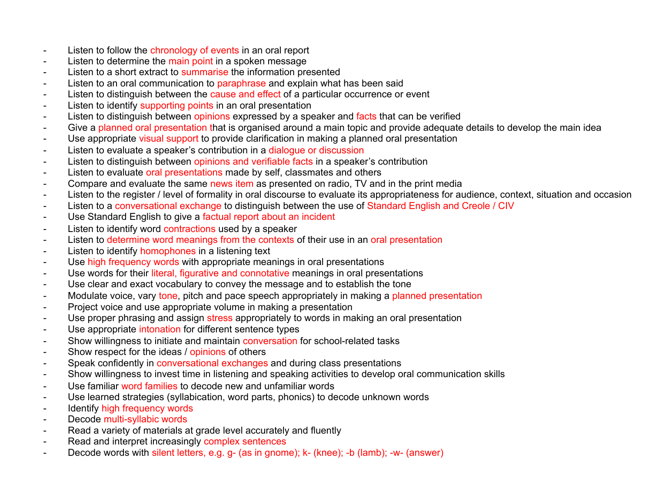- Listen to follow the chronology of events in an oral report
- Listen to determine the main point in a spoken message
- Listen to a short extract to summarise the information presented
- Listen to an oral communication to paraphrase and explain what has been said
- Listen to distinguish between the cause and effect of a particular occurrence or event
- Listen to identify supporting points in an oral presentation
- Listen to distinguish between opinions expressed by a speaker and facts that can be verified
- Give a planned oral presentation that is organised around a main topic and provide adequate details to develop the main idea
- Use appropriate visual support to provide clarification in making a planned oral presentation
- Listen to evaluate a speaker's contribution in a dialogue or discussion
- Listen to distinguish between opinions and verifiable facts in a speaker's contribution
- Listen to evaluate oral presentations made by self, classmates and others
- Compare and evaluate the same news item as presented on radio, TV and in the print media
- Listen to the register / level of formality in oral discourse to evaluate its appropriateness for audience, context, situation and occasion
- Listen to a conversational exchange to distinguish between the use of Standard English and Creole / CIV
- Use Standard English to give a factual report about an incident
- Listen to identify word contractions used by a speaker
- Listen to determine word meanings from the contexts of their use in an oral presentation
- Listen to identify homophones in a listening text
- Use high frequency words with appropriate meanings in oral presentations
- Use words for their literal, figurative and connotative meanings in oral presentations
- Use clear and exact vocabulary to convey the message and to establish the tone
- Modulate voice, vary tone, pitch and pace speech appropriately in making a planned presentation
- Project voice and use appropriate volume in making a presentation
- Use proper phrasing and assign stress appropriately to words in making an oral presentation
- Use appropriate intonation for different sentence types
- Show willingness to initiate and maintain conversation for school-related tasks
- Show respect for the ideas / opinions of others
- Speak confidently in conversational exchanges and during class presentations
- Show willingness to invest time in listening and speaking activities to develop oral communication skills
- Use familiar word families to decode new and unfamiliar words
- Use learned strategies (syllabication, word parts, phonics) to decode unknown words
- Identify high frequency words
- Decode multi-syllabic words
- Read a variety of materials at grade level accurately and fluently
- Read and interpret increasingly complex sentences
- Decode words with silent letters, e.g. g- (as in gnome); k- (knee); -b (lamb); -w- (answer)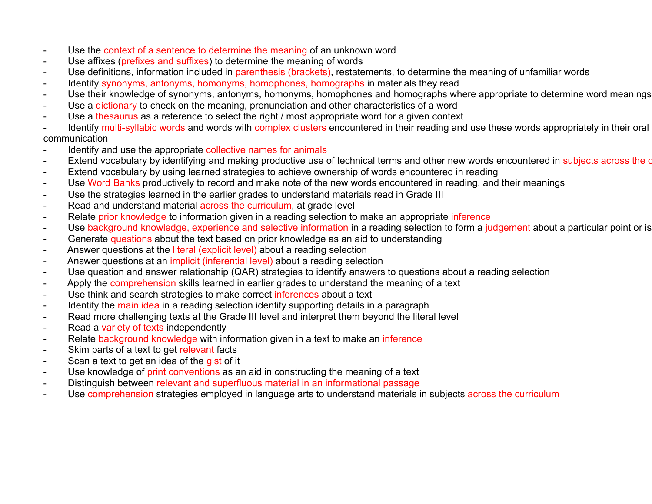- Use the context of a sentence to determine the meaning of an unknown word
- Use affixes (prefixes and suffixes) to determine the meaning of words
- Use definitions, information included in parenthesis (brackets), restatements, to determine the meaning of unfamiliar words
- Identify synonyms, antonyms, homonyms, homophones, homographs in materials they read
- Use their knowledge of synonyms, antonyms, homonyms, homophones and homographs where appropriate to determine word meanings
- Use a dictionary to check on the meaning, pronunciation and other characteristics of a word
- Use a the saurus as a reference to select the right / most appropriate word for a given context
- Identify multi-syllabic words and words with complex clusters encountered in their reading and use these words appropriately in their oral communication
- Identify and use the appropriate collective names for animals
- Extend vocabulary by identifying and making productive use of technical terms and other new words encountered in subjects across the c
- Extend vocabulary by using learned strategies to achieve ownership of words encountered in reading
- Use Word Banks productively to record and make note of the new words encountered in reading, and their meanings
- Use the strategies learned in the earlier grades to understand materials read in Grade III
- Read and understand material across the curriculum, at grade level
- Relate prior knowledge to information given in a reading selection to make an appropriate inference
- Use background knowledge, experience and selective information in a reading selection to form a judgement about a particular point or is
- Generate questions about the text based on prior knowledge as an aid to understanding
- Answer questions at the literal (explicit level) about a reading selection
- Answer questions at an *implicit (inferential level)* about a reading selection
- Use question and answer relationship (QAR) strategies to identify answers to questions about a reading selection
- Apply the comprehension skills learned in earlier grades to understand the meaning of a text
- Use think and search strategies to make correct inferences about a text
- Identify the main idea in a reading selection identify supporting details in a paragraph
- Read more challenging texts at the Grade III level and interpret them beyond the literal level
- Read a variety of texts independently
- Relate background knowledge with information given in a text to make an inference
- Skim parts of a text to get relevant facts
- Scan a text to get an idea of the gist of it
- Use knowledge of print conventions as an aid in constructing the meaning of a text
- Distinguish between relevant and superfluous material in an informational passage
- Use comprehension strategies employed in language arts to understand materials in subjects across the curriculum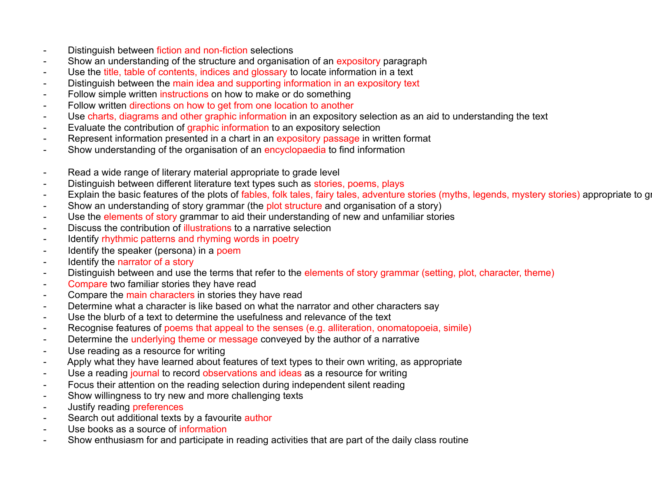- Distinguish between fiction and non-fiction selections
- Show an understanding of the structure and organisation of an expository paragraph
- Use the title, table of contents, indices and glossary to locate information in a text
- Distinguish between the main idea and supporting information in an expository text
- Follow simple written instructions on how to make or do something
- Follow written directions on how to get from one location to another
- Use charts, diagrams and other graphic information in an expository selection as an aid to understanding the text
- Evaluate the contribution of graphic information to an expository selection
- Represent information presented in a chart in an expository passage in written format
- Show understanding of the organisation of an encyclopaedia to find information
- Read a wide range of literary material appropriate to grade level
- Distinguish between different literature text types such as stories, poems, plays
- Explain the basic features of the plots of fables, folk tales, fairy tales, adventure stories (myths, legends, mystery stories) appropriate to grade level
- Show an understanding of story grammar (the plot structure and organisation of a story)
- Use the elements of story grammar to aid their understanding of new and unfamiliar stories
- Discuss the contribution of illustrations to a narrative selection
- Identify rhythmic patterns and rhyming words in poetry
- Identify the speaker (persona) in a poem
- Identify the narrator of a story
- Distinguish between and use the terms that refer to the elements of story grammar (setting, plot, character, theme)
- Compare two familiar stories they have read
- Compare the main characters in stories they have read
- Determine what a character is like based on what the narrator and other characters say
- Use the blurb of a text to determine the usefulness and relevance of the text
- Recognise features of poems that appeal to the senses (e.g. alliteration, onomatopoeia, simile)
- Determine the underlying theme or message conveyed by the author of a narrative
- Use reading as a resource for writing
- Apply what they have learned about features of text types to their own writing, as appropriate
- Use a reading journal to record observations and ideas as a resource for writing
- Focus their attention on the reading selection during independent silent reading
- Show willingness to try new and more challenging texts
- Justify reading preferences
- Search out additional texts by a favourite author
- Use books as a source of information
- Show enthusiasm for and participate in reading activities that are part of the daily class routine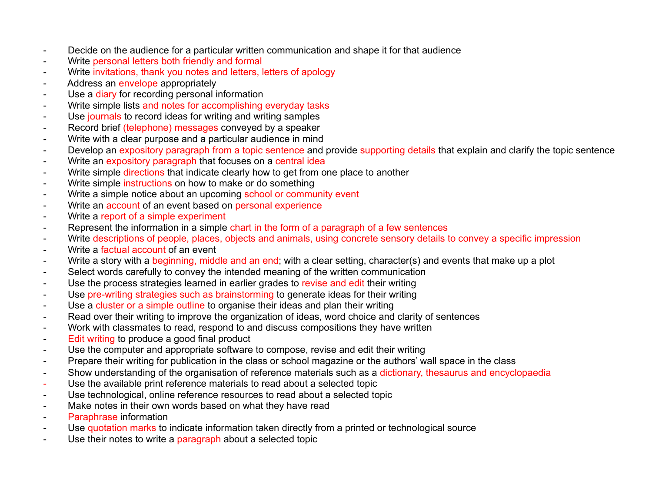- Decide on the audience for a particular written communication and shape it for that audience
- Write personal letters both friendly and formal
- Write invitations, thank you notes and letters, letters of apology
- Address an envelope appropriately
- Use a diary for recording personal information
- Write simple lists and notes for accomplishing everyday tasks
- Use journals to record ideas for writing and writing samples
- Record brief (telephone) messages conveyed by a speaker
- Write with a clear purpose and a particular audience in mind
- Develop an expository paragraph from a topic sentence and provide supporting details that explain and clarify the topic sentence
- Write an expository paragraph that focuses on a central idea
- Write simple directions that indicate clearly how to get from one place to another
- Write simple instructions on how to make or do something
- Write a simple notice about an upcoming school or community event
- Write an account of an event based on personal experience
- Write a report of a simple experiment
- Represent the information in a simple chart in the form of a paragraph of a few sentences
- Write descriptions of people, places, objects and animals, using concrete sensory details to convey a specific impression
- Write a factual account of an event
- Write a story with a beginning, middle and an end; with a clear setting, character(s) and events that make up a plot
- Select words carefully to convey the intended meaning of the written communication
- Use the process strategies learned in earlier grades to revise and edit their writing
- Use pre-writing strategies such as brainstorming to generate ideas for their writing
- Use a cluster or a simple outline to organise their ideas and plan their writing
- Read over their writing to improve the organization of ideas, word choice and clarity of sentences
- Work with classmates to read, respond to and discuss compositions they have written
- Edit writing to produce a good final product
- Use the computer and appropriate software to compose, revise and edit their writing
- Prepare their writing for publication in the class or school magazine or the authors' wall space in the class
- Show understanding of the organisation of reference materials such as a dictionary, thesaurus and encyclopaedia
- Use the available print reference materials to read about a selected topic
- Use technological, online reference resources to read about a selected topic
- Make notes in their own words based on what they have read
- Paraphrase information
- Use quotation marks to indicate information taken directly from a printed or technological source
- Use their notes to write a paragraph about a selected topic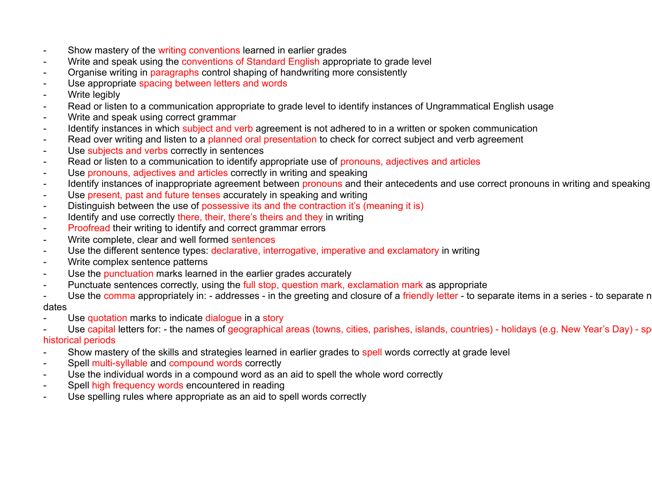- Show mastery of the writing conventions learned in earlier grades
- Write and speak using the conventions of Standard English appropriate to grade level
- Organise writing in paragraphs control shaping of handwriting more consistently
- Use appropriate spacing between letters and words
- Write legibly
- Read or listen to a communication appropriate to grade level to identify instances of Ungrammatical English usage
- Write and speak using correct grammar
- Identify instances in which subject and verb agreement is not adhered to in a written or spoken communication
- Read over writing and listen to a planned oral presentation to check for correct subject and verb agreement
- Use subjects and verbs correctly in sentences
- Read or listen to a communication to identify appropriate use of pronouns, adjectives and articles
- Use pronouns, adjectives and articles correctly in writing and speaking
- Identify instances of inappropriate agreement between pronouns and their antecedents and use correct pronouns in writing and speaking
- Use present, past and future tenses accurately in speaking and writing
- Distinguish between the use of possessive its and the contraction it's (meaning it is)
- Identify and use correctly there, their, there's theirs and they in writing
- Proofread their writing to identify and correct grammar errors
- Write complete, clear and well formed sentences
- Use the different sentence types: declarative, interrogative, imperative and exclamatory in writing
- Write complex sentence patterns
- Use the punctuation marks learned in the earlier grades accurately
- Punctuate sentences correctly, using the full stop, question mark, exclamation mark as appropriate
- Use the comma appropriately in: addresses in the greeting and closure of a friendly letter to separate items in a series to separate n dates
- Use quotation marks to indicate dialogue in a story
- Use capital letters for: the names of geographical areas (towns, cities, parishes, islands, countries) holidays (e.g. New Year's Day) sp historical periods
- Show mastery of the skills and strategies learned in earlier grades to spell words correctly at grade level
- Spell multi-syllable and compound words correctly
- Use the individual words in a compound word as an aid to spell the whole word correctly
- Spell high frequency words encountered in reading
- Use spelling rules where appropriate as an aid to spell words correctly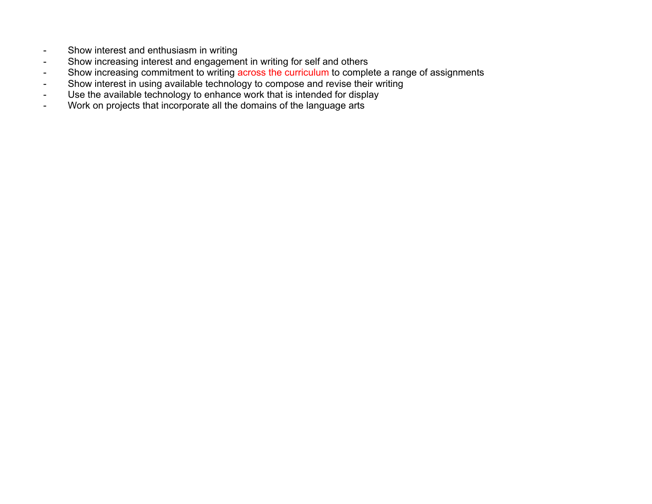- Show interest and enthusiasm in writing
- Show increasing interest and engagement in writing for self and others
- Show increasing commitment to writing across the curriculum to complete a range of assignments
- Show interest in using available technology to compose and revise their writing
- Use the available technology to enhance work that is intended for display
- Work on projects that incorporate all the domains of the language arts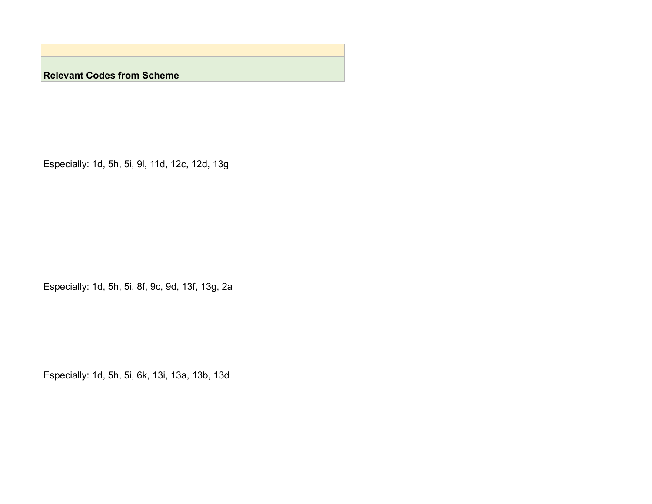**Relevant Codes from Scheme**

Especially: 1d, 5h, 5i, 9l, 11d, 12c, 12d, 13g

Especially: 1d, 5h, 5i, 8f, 9c, 9d, 13f, 13g, 2a

Especially: 1d, 5h, 5i, 6k, 13i, 13a, 13b, 13d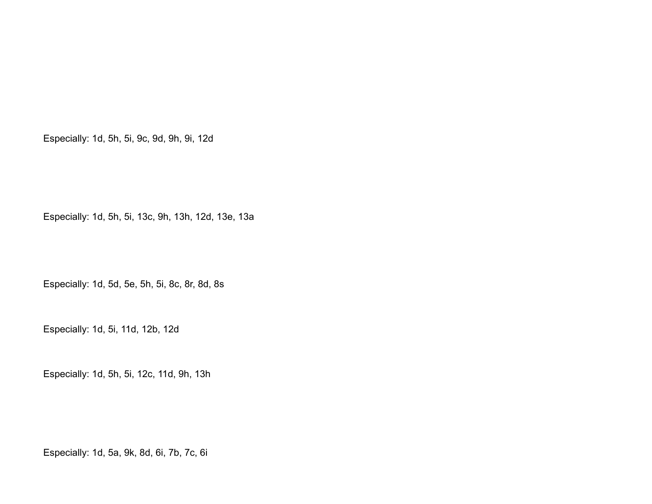Especially: 1d, 5h, 5i, 9c, 9d, 9h, 9i, 12d

Especially: 1d, 5h, 5i, 13c, 9h, 13h, 12d, 13e, 13a

Especially: 1d, 5d, 5e, 5h, 5i, 8c, 8r, 8d, 8s

Especially: 1d, 5i, 11d, 12b, 12d

Especially: 1d, 5h, 5i, 12c, 11d, 9h, 13h

Especially: 1d, 5a, 9k, 8d, 6i, 7b, 7c, 6i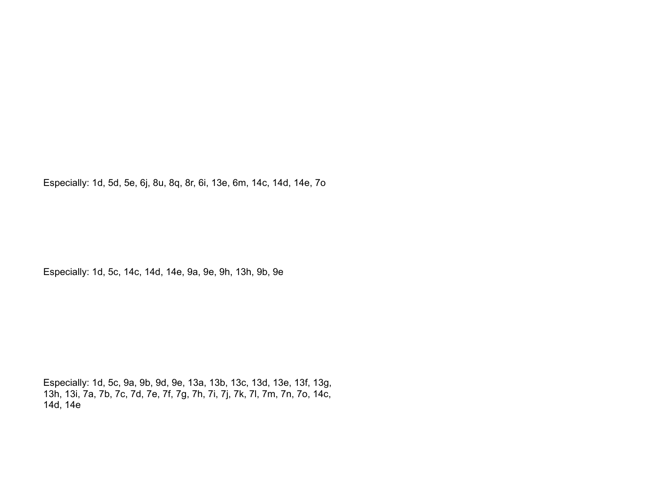Especially: 1d, 5d, 5e, 6j, 8u, 8q, 8r, 6i, 13e, 6m, 14c, 14d, 14e, 7o

Especially: 1d, 5c, 14c, 14d, 14e, 9a, 9e, 9h, 13h, 9b, 9e

Especially: 1d, 5c, 9a, 9b, 9d, 9e, 13a, 13b, 13c, 13d, 13e, 13f, 13g, 13h, 13i, 7a, 7b, 7c, 7d, 7e, 7f, 7g, 7h, 7i, 7j, 7k, 7l, 7m, 7n, 7o, 14c, 14d, 14e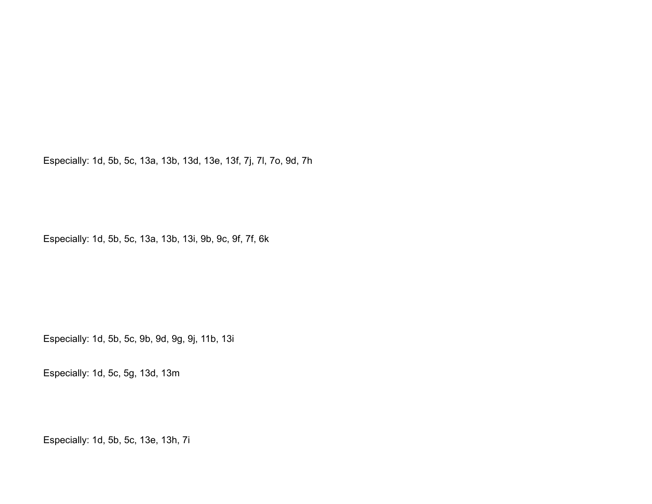Especially: 1d, 5b, 5c, 13a, 13b, 13d, 13e, 13f, 7j, 7l, 7o, 9d, 7h

Especially: 1d, 5b, 5c, 13a, 13b, 13i, 9b, 9c, 9f, 7f, 6k

Especially: 1d, 5b, 5c, 9b, 9d, 9g, 9j, 11b, 13i

Especially: 1d, 5c, 5g, 13d, 13m

Especially: 1d, 5b, 5c, 13e, 13h, 7i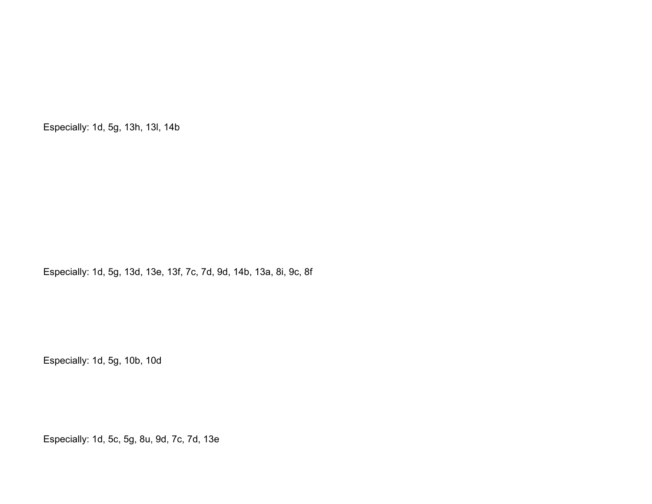Especially: 1d, 5g, 13h, 13l, 14b

Especially: 1d, 5g, 13d, 13e, 13f, 7c, 7d, 9d, 14b, 13a, 8i, 9c, 8f

Especially: 1d, 5g, 10b, 10d

Especially: 1d, 5c, 5g, 8u, 9d, 7c, 7d, 13e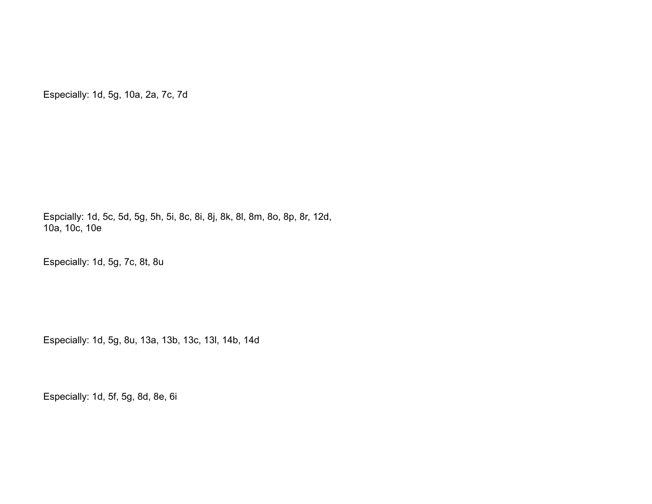Especially: 1d, 5g, 10a, 2a, 7c, 7d

Espcially: 1d, 5c, 5d, 5g, 5h, 5i, 8c, 8i, 8j, 8k, 8l, 8m, 8o, 8p, 8r, 12d, 10a, 10c, 10e

Especially: 1d, 5g, 7c, 8t, 8u

Especially: 1d, 5g, 8u, 13a, 13b, 13c, 13l, 14b, 14d

Especially: 1d, 5f, 5g, 8d, 8e, 6i